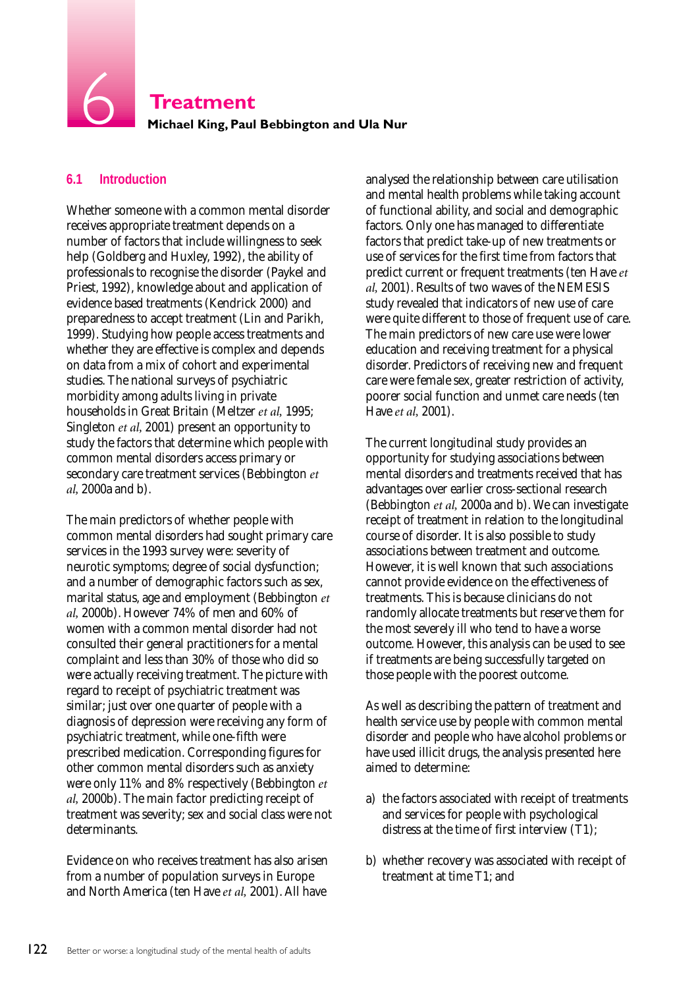**Treatment** 6 6 **Treatment Michael King, Paul Bebbington and Ula Nur**

# **6.1 Introduction**

Whether someone with a common mental disorder receives appropriate treatment depends on a number of factors that include willingness to seek help (Goldberg and Huxley, 1992), the ability of professionals to recognise the disorder (Paykel and Priest, 1992), knowledge about and application of evidence based treatments (Kendrick 2000) and preparedness to accept treatment (Lin and Parikh, 1999). Studying how people access treatments and whether they are effective is complex and depends on data from a mix of cohort and experimental studies. The national surveys of psychiatric morbidity among adults living in private households in Great Britain (Meltzer *et al,* 1995; Singleton *et al,* 2001) present an opportunity to study the factors that determine which people with common mental disorders access primary or secondary care treatment services (Bebbington *et al,* 2000a and b).

The main predictors of whether people with common mental disorders had sought primary care services in the 1993 survey were: severity of neurotic symptoms; degree of social dysfunction; and a number of demographic factors such as sex, marital status, age and employment (Bebbington *et al,* 2000b). However 74% of men and 60% of women with a common mental disorder had not consulted their general practitioners for a mental complaint and less than 30% of those who did so were actually receiving treatment. The picture with regard to receipt of psychiatric treatment was similar; just over one quarter of people with a diagnosis of depression were receiving any form of psychiatric treatment, while one-fifth were prescribed medication. Corresponding figures for other common mental disorders such as anxiety were only 11% and 8% respectively (Bebbington *et al,* 2000b). The main factor predicting receipt of treatment was severity; sex and social class were not determinants.

Evidence on who receives treatment has also arisen from a number of population surveys in Europe and North America (ten Have *et al,* 2001). All have

analysed the relationship between care utilisation and mental health problems while taking account of functional ability, and social and demographic factors. Only one has managed to differentiate factors that predict take-up of new treatments or use of services for the first time from factors that predict current or frequent treatments (ten Have *et al,* 2001). Results of two waves of the NEMESIS study revealed that indicators of new use of care were quite different to those of frequent use of care. The main predictors of new care use were lower education and receiving treatment for a physical disorder. Predictors of receiving new and frequent care were female sex, greater restriction of activity, poorer social function and unmet care needs (ten Have *et al,* 2001).

The current longitudinal study provides an opportunity for studying associations between mental disorders and treatments received that has advantages over earlier cross-sectional research (Bebbington *et al,* 2000a and b). We can investigate receipt of treatment in relation to the longitudinal course of disorder. It is also possible to study associations between treatment and outcome. However, it is well known that such associations cannot provide evidence on the effectiveness of treatments. This is because clinicians do not randomly allocate treatments but reserve them for the most severely ill who tend to have a worse outcome. However, this analysis can be used to see if treatments are being successfully targeted on those people with the poorest outcome.

As well as describing the pattern of treatment and health service use by people with common mental disorder and people who have alcohol problems or have used illicit drugs, the analysis presented here aimed to determine:

- a) the factors associated with receipt of treatments and services for people with psychological distress at the time of first interview (T1);
- b) whether recovery was associated with receipt of treatment at time T1; and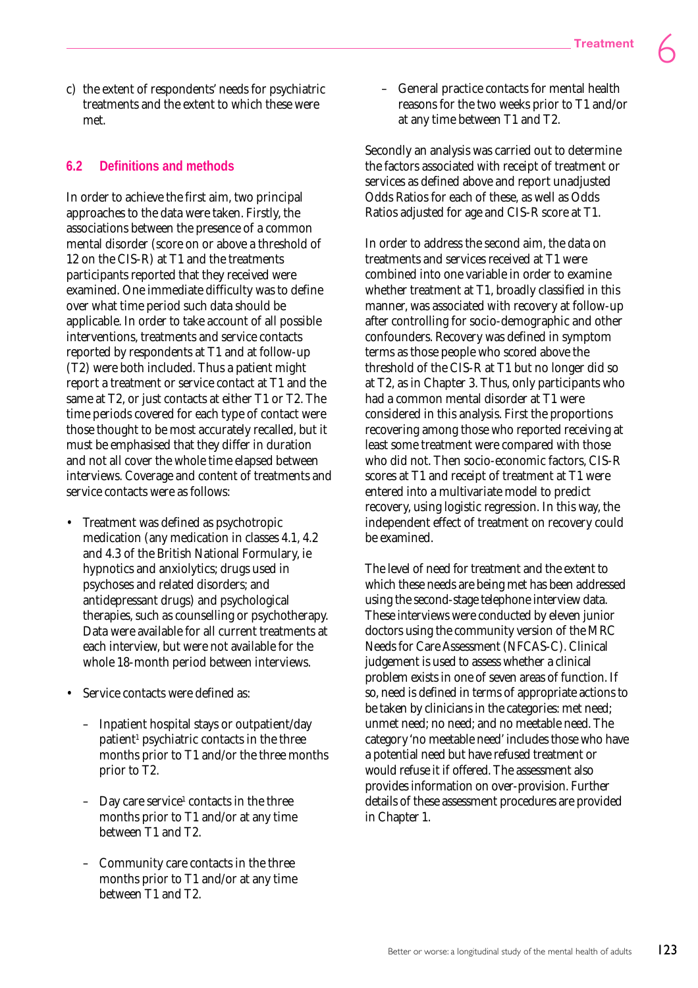c) the extent of respondents' needs for psychiatric treatments and the extent to which these were met.

## **6.2 Definitions and methods**

In order to achieve the first aim, two principal approaches to the data were taken. Firstly, the associations between the presence of a common mental disorder (score on or above a threshold of 12 on the CIS-R) at T1 and the treatments participants reported that they received were examined. One immediate difficulty was to define over what time period such data should be applicable. In order to take account of all possible interventions, treatments and service contacts reported by respondents at T1 and at follow-up (T2) were both included. Thus a patient might report a treatment or service contact at T1 and the same at T2, or just contacts at either T1 or T2. The time periods covered for each type of contact were those thought to be most accurately recalled, but it must be emphasised that they differ in duration and not all cover the whole time elapsed between interviews. Coverage and content of treatments and service contacts were as follows:

- Treatment was defined as psychotropic medication (any medication in classes 4.1, 4.2 and 4.3 of the British National Formulary, ie hypnotics and anxiolytics; drugs used in psychoses and related disorders; and antidepressant drugs) and psychological therapies, such as counselling or psychotherapy. Data were available for all current treatments at each interview, but were not available for the whole 18-month period between interviews.
- Service contacts were defined as:
	- Inpatient hospital stays or outpatient/day patient<sup>1</sup> psychiatric contacts in the three months prior to T1 and/or the three months prior to T2.
	- $-$  Day care service<sup>1</sup> contacts in the three months prior to T1 and/or at any time between T1 and T2.
	- Community care contacts in the three months prior to T1 and/or at any time between T1 and T2.

– General practice contacts for mental health reasons for the two weeks prior to T1 and/or at any time between T1 and T2.

Secondly an analysis was carried out to determine the factors associated with receipt of treatment or services as defined above and report unadjusted Odds Ratios for each of these, as well as Odds Ratios adjusted for age and CIS-R score at T1.

In order to address the second aim, the data on treatments and services received at T1 were combined into one variable in order to examine whether treatment at T1, broadly classified in this manner, was associated with recovery at follow-up after controlling for socio-demographic and other confounders. Recovery was defined in symptom terms as those people who scored above the threshold of the CIS-R at T1 but no longer did so at T2, as in Chapter 3. Thus, only participants who had a common mental disorder at T1 were considered in this analysis. First the proportions recovering among those who reported receiving at least some treatment were compared with those who did not. Then socio-economic factors, CIS-R scores at T1 and receipt of treatment at T1 were entered into a multivariate model to predict recovery, using logistic regression. In this way, the independent effect of treatment on recovery could be examined.

The level of need for treatment and the extent to which these needs are being met has been addressed using the second-stage telephone interview data. These interviews were conducted by eleven junior doctors using the community version of the MRC Needs for Care Assessment (NFCAS-C). Clinical judgement is used to assess whether a clinical problem exists in one of seven areas of function. If so, need is defined in terms of appropriate actions to be taken by clinicians in the categories: met need; unmet need; no need; and no meetable need. The category 'no meetable need' includes those who have a potential need but have refused treatment or would refuse it if offered. The assessment also provides information on over-provision. Further details of these assessment procedures are provided in Chapter 1.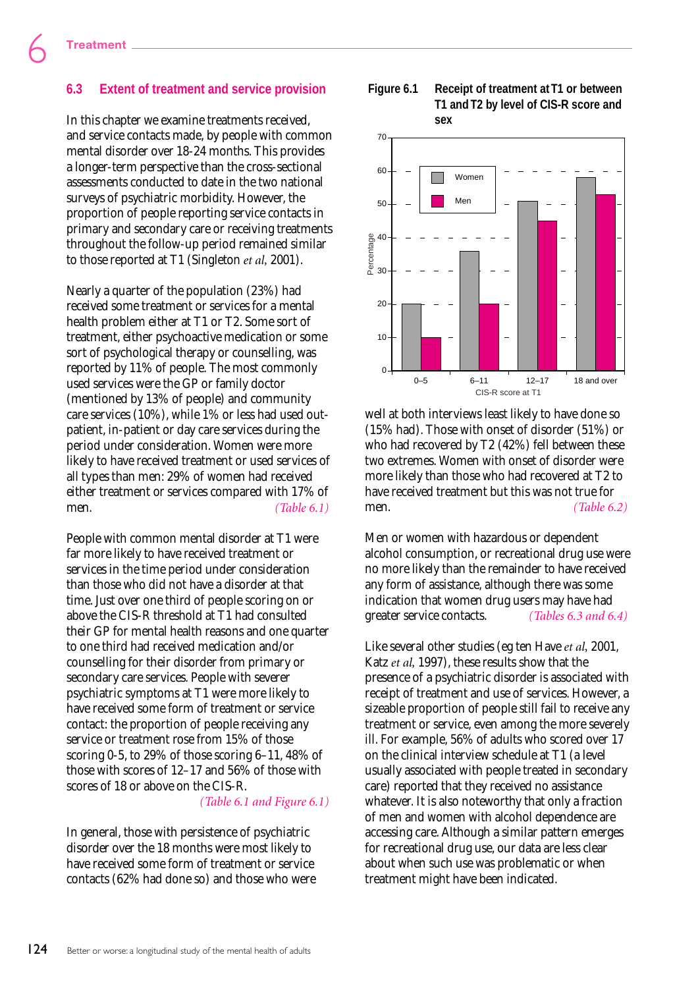## **6.3 Extent of treatment and service provision**

In this chapter we examine treatments received, and service contacts made, by people with common mental disorder over 18-24 months. This provides a longer-term perspective than the cross-sectional assessments conducted to date in the two national surveys of psychiatric morbidity. However, the proportion of people reporting service contacts in primary and secondary care or receiving treatments throughout the follow-up period remained similar to those reported at T1 (Singleton *et al,* 2001).

Nearly a quarter of the population (23%) had received some treatment or services for a mental health problem either at T1 or T2. Some sort of treatment, either psychoactive medication or some sort of psychological therapy or counselling, was reported by 11% of people. The most commonly used services were the GP or family doctor (mentioned by 13% of people) and community care services (10%), while 1% or less had used outpatient, in-patient or day care services during the period under consideration. Women were more likely to have received treatment or used services of all types than men: 29% of women had received either treatment or services compared with 17% of men. *<i>(Table 6.1)* 

People with common mental disorder at T1 were far more likely to have received treatment or services in the time period under consideration than those who did not have a disorder at that time. Just over one third of people scoring on or above the CIS-R threshold at T1 had consulted their GP for mental health reasons and one quarter to one third had received medication and/or counselling for their disorder from primary or secondary care services. People with severer psychiatric symptoms at T1 were more likely to have received some form of treatment or service contact: the proportion of people receiving any service or treatment rose from 15% of those scoring 0-5, to 29% of those scoring 6–11, 48% of those with scores of 12–17 and 56% of those with scores of 18 or above on the CIS-R.

*(Table 6.1 and Figure 6.1)*

In general, those with persistence of psychiatric disorder over the 18 months were most likely to have received some form of treatment or service contacts (62% had done so) and those who were

#### **Figure 6.1 Receipt of treatment at T1 or between T1 and T2 by level of CIS-R score and sex**



well at both interviews least likely to have done so (15% had). Those with onset of disorder (51%) or who had recovered by T2 (42%) fell between these two extremes. Women with onset of disorder were more likely than those who had recovered at T2 to have received treatment but this was not true for men. *(Table 6.2)*

Men or women with hazardous or dependent alcohol consumption, or recreational drug use were no more likely than the remainder to have received any form of assistance, although there was some indication that women drug users may have had greater service contacts. *(Tables 6.3 and 6.4)*

Like several other studies (eg ten Have *et al,* 2001, Katz *et al,* 1997), these results show that the presence of a psychiatric disorder is associated with receipt of treatment and use of services. However, a sizeable proportion of people still fail to receive any treatment or service, even among the more severely ill. For example, 56% of adults who scored over 17 on the clinical interview schedule at T1 (a level usually associated with people treated in secondary care) reported that they received no assistance whatever. It is also noteworthy that only a fraction of men and women with alcohol dependence are accessing care. Although a similar pattern emerges for recreational drug use, our data are less clear about when such use was problematic or when treatment might have been indicated.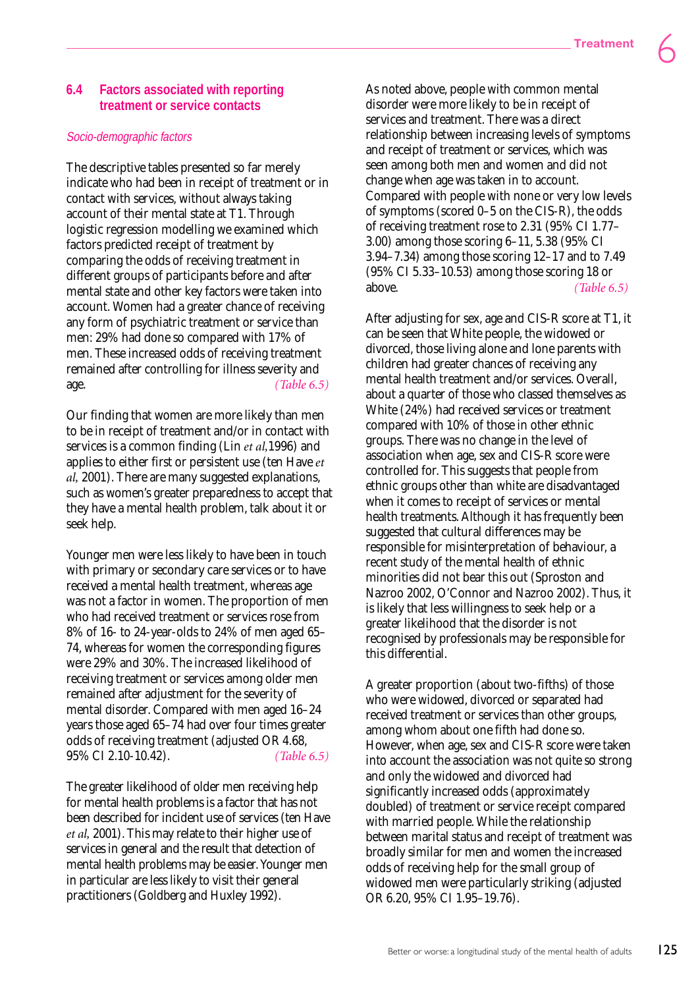## **6.4 Factors associated with reporting treatment or service contacts**

#### Socio-demographic factors

The descriptive tables presented so far merely indicate who had been in receipt of treatment or in contact with services, without always taking account of their mental state at T1. Through logistic regression modelling we examined which factors predicted receipt of treatment by comparing the odds of receiving treatment in different groups of participants before and after mental state and other key factors were taken into account. Women had a greater chance of receiving any form of psychiatric treatment or service than men: 29% had done so compared with 17% of men. These increased odds of receiving treatment remained after controlling for illness severity and age. *(Table 6.5)*

Our finding that women are more likely than men to be in receipt of treatment and/or in contact with services is a common finding (Lin *et al,*1996) and applies to either first or persistent use (ten Have *et al,* 2001). There are many suggested explanations, such as women's greater preparedness to accept that they have a mental health problem, talk about it or seek help.

Younger men were less likely to have been in touch with primary or secondary care services or to have received a mental health treatment, whereas age was not a factor in women. The proportion of men who had received treatment or services rose from 8% of 16- to 24-year-olds to 24% of men aged 65– 74, whereas for women the corresponding figures were 29% and 30%. The increased likelihood of receiving treatment or services among older men remained after adjustment for the severity of mental disorder. Compared with men aged 16–24 years those aged 65–74 had over four times greater odds of receiving treatment (adjusted OR 4.68, 95% CI 2.10-10.42). *(Table 6.5)*

The greater likelihood of older men receiving help for mental health problems is a factor that has not been described for incident use of services (ten Have *et al,* 2001). This may relate to their higher use of services in general and the result that detection of mental health problems may be easier. Younger men in particular are less likely to visit their general practitioners (Goldberg and Huxley 1992).

As noted above, people with common mental disorder were more likely to be in receipt of services and treatment. There was a direct relationship between increasing levels of symptoms and receipt of treatment or services, which was seen among both men and women and did not change when age was taken in to account. Compared with people with none or very low levels of symptoms (scored 0–5 on the CIS-R), the odds of receiving treatment rose to 2.31 (95% CI 1.77– 3.00) among those scoring 6–11, 5.38 (95% CI 3.94–7.34) among those scoring 12–17 and to 7.49 (95% CI 5.33–10.53) among those scoring 18 or above. *(Table 6.5)*

After adjusting for sex, age and CIS-R score at T1, it can be seen that White people, the widowed or divorced, those living alone and lone parents with children had greater chances of receiving any mental health treatment and/or services. Overall, about a quarter of those who classed themselves as White (24%) had received services or treatment compared with 10% of those in other ethnic groups. There was no change in the level of association when age, sex and CIS-R score were controlled for. This suggests that people from ethnic groups other than white are disadvantaged when it comes to receipt of services or mental health treatments. Although it has frequently been suggested that cultural differences may be responsible for misinterpretation of behaviour, a recent study of the mental health of ethnic minorities did not bear this out (Sproston and Nazroo 2002, O'Connor and Nazroo 2002). Thus, it is likely that less willingness to seek help or a greater likelihood that the disorder is not recognised by professionals may be responsible for this differential.

A greater proportion (about two-fifths) of those who were widowed, divorced or separated had received treatment or services than other groups, among whom about one fifth had done so. However, when age, sex and CIS-R score were taken into account the association was not quite so strong and only the widowed and divorced had significantly increased odds (approximately doubled) of treatment or service receipt compared with married people. While the relationship between marital status and receipt of treatment was broadly similar for men and women the increased odds of receiving help for the small group of widowed men were particularly striking (adjusted OR 6.20, 95% CI 1.95–19.76).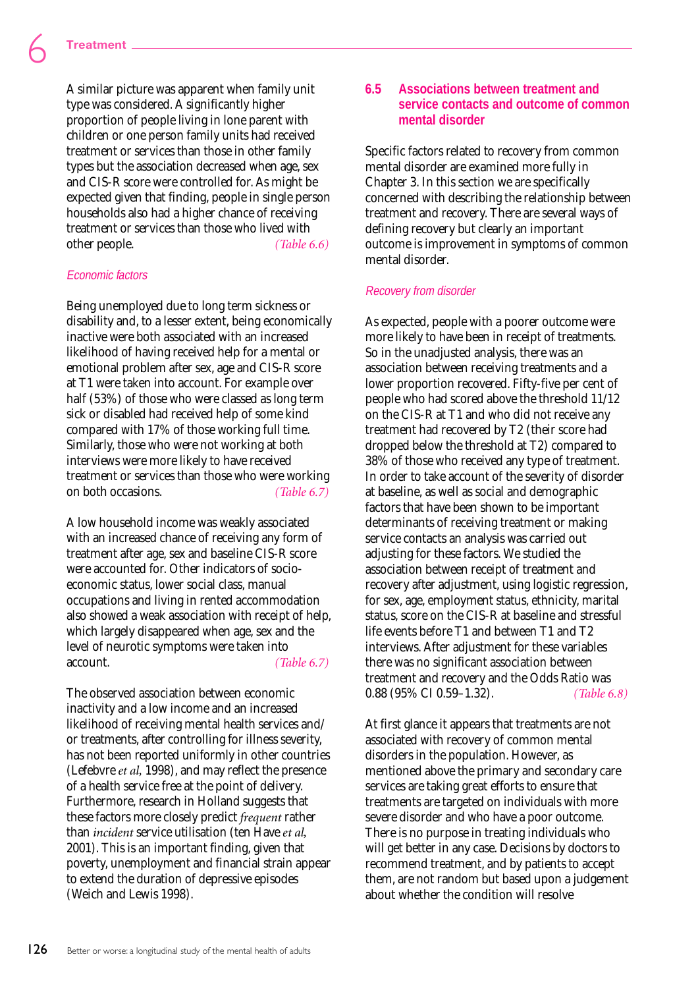A similar picture was apparent when family unit type was considered. A significantly higher proportion of people living in lone parent with children or one person family units had received treatment or services than those in other family types but the association decreased when age, sex and CIS-R score were controlled for. As might be expected given that finding, people in single person households also had a higher chance of receiving treatment or services than those who lived with other people. *(Table 6.6)*

#### Economic factors

Being unemployed due to long term sickness or disability and, to a lesser extent, being economically inactive were both associated with an increased likelihood of having received help for a mental or emotional problem after sex, age and CIS-R score at T1 were taken into account. For example over half (53%) of those who were classed as long term sick or disabled had received help of some kind compared with 17% of those working full time. Similarly, those who were not working at both interviews were more likely to have received treatment or services than those who were working on both occasions. *(Table 6.7)*

A low household income was weakly associated with an increased chance of receiving any form of treatment after age, sex and baseline CIS-R score were accounted for. Other indicators of socioeconomic status, lower social class, manual occupations and living in rented accommodation also showed a weak association with receipt of help, which largely disappeared when age, sex and the level of neurotic symptoms were taken into account. *(Table 6.7)*

The observed association between economic inactivity and a low income and an increased likelihood of receiving mental health services and/ or treatments, after controlling for illness severity, has not been reported uniformly in other countries (Lefebvre *et al,* 1998), and may reflect the presence of a health service free at the point of delivery. Furthermore, research in Holland suggests that these factors more closely predict *frequent* rather than *incident* service utilisation (ten Have *et al,* 2001). This is an important finding, given that poverty, unemployment and financial strain appear to extend the duration of depressive episodes (Weich and Lewis 1998).

# **6.5 Associations between treatment and service contacts and outcome of common mental disorder**

Specific factors related to recovery from common mental disorder are examined more fully in Chapter 3. In this section we are specifically concerned with describing the relationship between treatment and recovery. There are several ways of defining recovery but clearly an important outcome is improvement in symptoms of common mental disorder.

# Recovery from disorder

As expected, people with a poorer outcome were more likely to have been in receipt of treatments. So in the unadjusted analysis, there was an association between receiving treatments and a lower proportion recovered. Fifty-five per cent of people who had scored above the threshold 11/12 on the CIS-R at T1 and who did not receive any treatment had recovered by T2 (their score had dropped below the threshold at T2) compared to 38% of those who received any type of treatment. In order to take account of the severity of disorder at baseline, as well as social and demographic factors that have been shown to be important determinants of receiving treatment or making service contacts an analysis was carried out adjusting for these factors. We studied the association between receipt of treatment and recovery after adjustment, using logistic regression, for sex, age, employment status, ethnicity, marital status, score on the CIS-R at baseline and stressful life events before T1 and between T1 and T2 interviews. After adjustment for these variables there was no significant association between treatment and recovery and the Odds Ratio was 0.88 (95% CI 0.59–1.32). *(Table 6.8)*

At first glance it appears that treatments are not associated with recovery of common mental disorders in the population. However, as mentioned above the primary and secondary care services are taking great efforts to ensure that treatments are targeted on individuals with more severe disorder and who have a poor outcome. There is no purpose in treating individuals who will get better in any case. Decisions by doctors to recommend treatment, and by patients to accept them, are not random but based upon a judgement about whether the condition will resolve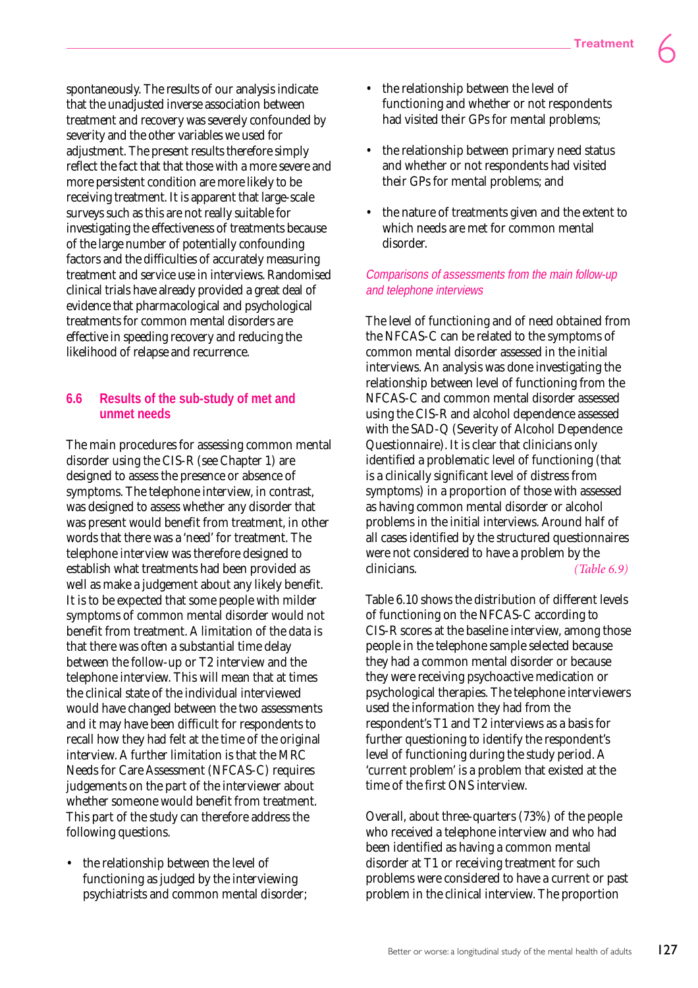spontaneously. The results of our analysis indicate that the unadjusted inverse association between treatment and recovery was severely confounded by severity and the other variables we used for adjustment. The present results therefore simply reflect the fact that that those with a more severe and more persistent condition are more likely to be receiving treatment. It is apparent that large-scale surveys such as this are not really suitable for investigating the effectiveness of treatments because of the large number of potentially confounding factors and the difficulties of accurately measuring treatment and service use in interviews. Randomised clinical trials have already provided a great deal of evidence that pharmacological and psychological treatments for common mental disorders are effective in speeding recovery and reducing the likelihood of relapse and recurrence.

# **6.6 Results of the sub-study of met and unmet needs**

The main procedures for assessing common mental disorder using the CIS-R (see Chapter 1) are designed to assess the presence or absence of symptoms. The telephone interview, in contrast, was designed to assess whether any disorder that was present would benefit from treatment, in other words that there was a 'need' for treatment. The telephone interview was therefore designed to establish what treatments had been provided as well as make a judgement about any likely benefit. It is to be expected that some people with milder symptoms of common mental disorder would not benefit from treatment. A limitation of the data is that there was often a substantial time delay between the follow-up or T2 interview and the telephone interview. This will mean that at times the clinical state of the individual interviewed would have changed between the two assessments and it may have been difficult for respondents to recall how they had felt at the time of the original interview. A further limitation is that the MRC Needs for Care Assessment (NFCAS-C) requires judgements on the part of the interviewer about whether someone would benefit from treatment. This part of the study can therefore address the following questions.

• the relationship between the level of functioning as judged by the interviewing psychiatrists and common mental disorder;

- the relationship between the level of functioning and whether or not respondents had visited their GPs for mental problems;
- the relationship between primary need status and whether or not respondents had visited their GPs for mental problems; and
- the nature of treatments given and the extent to which needs are met for common mental disorder.

## Comparisons of assessments from the main follow-up and telephone interviews

The level of functioning and of need obtained from the NFCAS-C can be related to the symptoms of common mental disorder assessed in the initial interviews. An analysis was done investigating the relationship between level of functioning from the NFCAS-C and common mental disorder assessed using the CIS-R and alcohol dependence assessed with the SAD-Q (Severity of Alcohol Dependence Questionnaire). It is clear that clinicians only identified a problematic level of functioning (that is a clinically significant level of distress from symptoms) in a proportion of those with assessed as having common mental disorder or alcohol problems in the initial interviews. Around half of all cases identified by the structured questionnaires were not considered to have a problem by the clinicians. *(Table 6.9)*

Table 6.10 shows the distribution of different levels of functioning on the NFCAS-C according to CIS-R scores at the baseline interview, among those people in the telephone sample selected because they had a common mental disorder or because they were receiving psychoactive medication or psychological therapies. The telephone interviewers used the information they had from the respondent's T1 and T2 interviews as a basis for further questioning to identify the respondent's level of functioning during the study period. A 'current problem' is a problem that existed at the time of the first ONS interview.

Overall, about three-quarters (73%) of the people who received a telephone interview and who had been identified as having a common mental disorder at T1 or receiving treatment for such problems were considered to have a current or past problem in the clinical interview. The proportion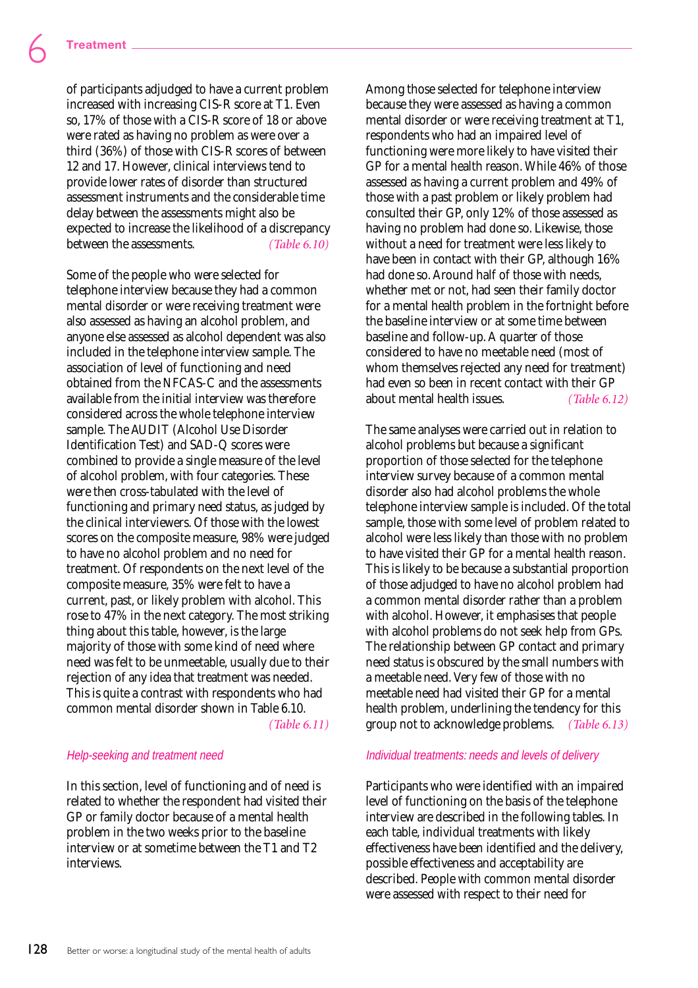of participants adjudged to have a current problem increased with increasing CIS-R score at T1. Even so, 17% of those with a CIS-R score of 18 or above were rated as having no problem as were over a third (36%) of those with CIS-R scores of between 12 and 17. However, clinical interviews tend to provide lower rates of disorder than structured assessment instruments and the considerable time delay between the assessments might also be expected to increase the likelihood of a discrepancy between the assessments. *(Table 6.10)*

Some of the people who were selected for telephone interview because they had a common mental disorder or were receiving treatment were also assessed as having an alcohol problem, and anyone else assessed as alcohol dependent was also included in the telephone interview sample. The association of level of functioning and need obtained from the NFCAS-C and the assessments available from the initial interview was therefore considered across the whole telephone interview sample. The AUDIT (Alcohol Use Disorder Identification Test) and SAD-Q scores were combined to provide a single measure of the level of alcohol problem, with four categories. These were then cross-tabulated with the level of functioning and primary need status, as judged by the clinical interviewers. Of those with the lowest scores on the composite measure, 98% were judged to have no alcohol problem and no need for treatment. Of respondents on the next level of the composite measure, 35% were felt to have a current, past, or likely problem with alcohol. This rose to 47% in the next category. The most striking thing about this table, however, is the large majority of those with some kind of need where need was felt to be unmeetable, usually due to their rejection of any idea that treatment was needed. This is quite a contrast with respondents who had common mental disorder shown in Table 6.10. *(Table 6.11)*

#### Help-seeking and treatment need

In this section, level of functioning and of need is related to whether the respondent had visited their GP or family doctor because of a mental health problem in the two weeks prior to the baseline interview or at sometime between the T1 and T2 interviews.

Among those selected for telephone interview because they were assessed as having a common mental disorder or were receiving treatment at T1, respondents who had an impaired level of functioning were more likely to have visited their GP for a mental health reason. While 46% of those assessed as having a current problem and 49% of those with a past problem or likely problem had consulted their GP, only 12% of those assessed as having no problem had done so. Likewise, those without a need for treatment were less likely to have been in contact with their GP, although 16% had done so. Around half of those with needs, whether met or not, had seen their family doctor for a mental health problem in the fortnight before the baseline interview or at some time between baseline and follow-up. A quarter of those considered to have no meetable need (most of whom themselves rejected any need for treatment) had even so been in recent contact with their GP about mental health issues. *(Table 6.12)*

The same analyses were carried out in relation to alcohol problems but because a significant proportion of those selected for the telephone interview survey because of a common mental disorder also had alcohol problems the whole telephone interview sample is included. Of the total sample, those with some level of problem related to alcohol were less likely than those with no problem to have visited their GP for a mental health reason. This is likely to be because a substantial proportion of those adjudged to have no alcohol problem had a common mental disorder rather than a problem with alcohol. However, it emphasises that people with alcohol problems do not seek help from GPs. The relationship between GP contact and primary need status is obscured by the small numbers with a meetable need. Very few of those with no meetable need had visited their GP for a mental health problem, underlining the tendency for this group not to acknowledge problems. *(Table 6.13)*

#### Individual treatments: needs and levels of delivery

Participants who were identified with an impaired level of functioning on the basis of the telephone interview are described in the following tables. In each table, individual treatments with likely effectiveness have been identified and the delivery, possible effectiveness and acceptability are described. People with common mental disorder were assessed with respect to their need for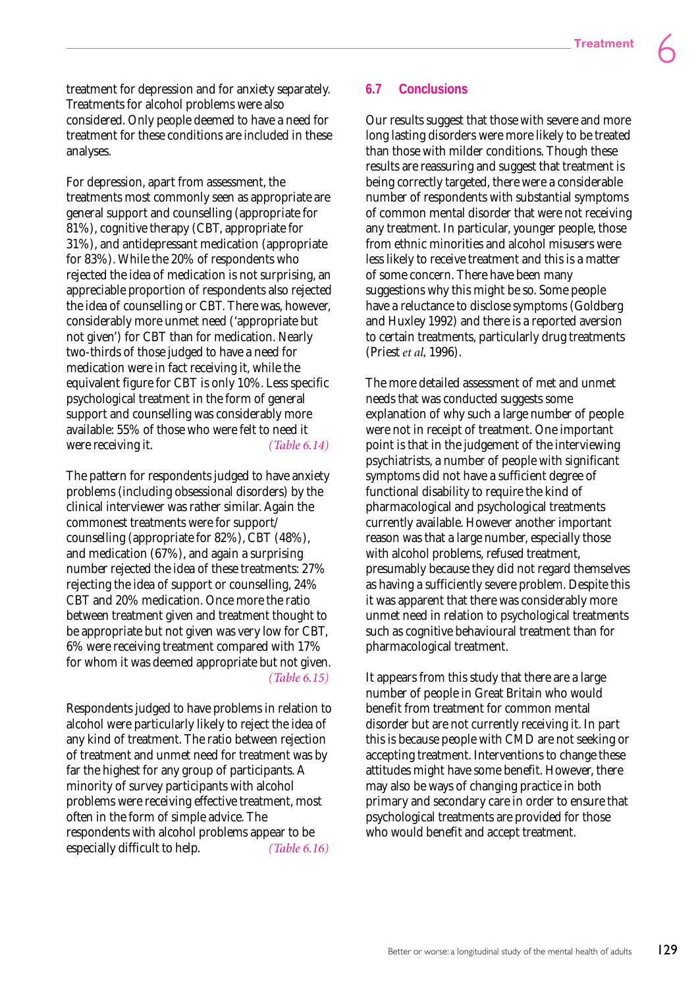treatment for depression and for anxiety separately. Treatments for alcohol problems were also considered. Only people deemed to have a need for treatment for these conditions are included in these analyses.

For depression, apart from assessment, the treatments most commonly seen as appropriate are general support and counselling (appropriate for 81%), cognitive therapy (CBT, appropriate for 31%), and antidepressant medication (appropriate for 83%). While the 20% of respondents who rejected the idea of medication is not surprising, an appreciable proportion of respondents also rejected the idea of counselling or CBT. There was, however, considerably more unmet need ('appropriate but not given') for CBT than for medication. Nearly two-thirds of those judged to have a need for medication were in fact receiving it, while the equivalent figure for CBT is only 10%. Less specific psychological treatment in the form of general support and counselling was considerably more available: 55% of those who were felt to need it were receiving it. *(Table 6.14)* 

The pattern for respondents judged to have anxiety problems (including obsessional disorders) by the clinical interviewer was rather similar. Again the commonest treatments were for support/ counselling (appropriate for 82%), CBT (48%), and medication (67%), and again a surprising number rejected the idea of these treatments: 27% rejecting the idea of support or counselling, 24% CBT and 20% medication. Once more the ratio between treatment given and treatment thought to be appropriate but not given was very low for CBT, 6% were receiving treatment compared with 17% for whom it was deemed appropriate but not given. *(Table 6.15)*

Respondents judged to have problems in relation to alcohol were particularly likely to reject the idea of any kind of treatment. The ratio between rejection of treatment and unmet need for treatment was by far the highest for any group of participants. A minority of survey participants with alcohol problems were receiving effective treatment, most often in the form of simple advice. The respondents with alcohol problems appear to be especially difficult to help. *(Table 6.16)*

## **6.7 Conclusions**

Our results suggest that those with severe and more long lasting disorders were more likely to be treated than those with milder conditions. Though these results are reassuring and suggest that treatment is being correctly targeted, there were a considerable number of respondents with substantial symptoms of common mental disorder that were not receiving any treatment. In particular, younger people, those from ethnic minorities and alcohol misusers were less likely to receive treatment and this is a matter of some concern. There have been many suggestions why this might be so. Some people have a reluctance to disclose symptoms (Goldberg and Huxley 1992) and there is a reported aversion to certain treatments, particularly drug treatments (Priest *et al,* 1996).

The more detailed assessment of met and unmet needs that was conducted suggests some explanation of why such a large number of people were not in receipt of treatment. One important point is that in the judgement of the interviewing psychiatrists, a number of people with significant symptoms did not have a sufficient degree of functional disability to require the kind of pharmacological and psychological treatments currently available. However another important reason was that a large number, especially those with alcohol problems, refused treatment, presumably because they did not regard themselves as having a sufficiently severe problem. Despite this it was apparent that there was considerably more unmet need in relation to psychological treatments such as cognitive behavioural treatment than for pharmacological treatment.

It appears from this study that there are a large number of people in Great Britain who would benefit from treatment for common mental disorder but are not currently receiving it. In part this is because people with CMD are not seeking or accepting treatment. Interventions to change these attitudes might have some benefit. However, there may also be ways of changing practice in both primary and secondary care in order to ensure that psychological treatments are provided for those who would benefit and accept treatment.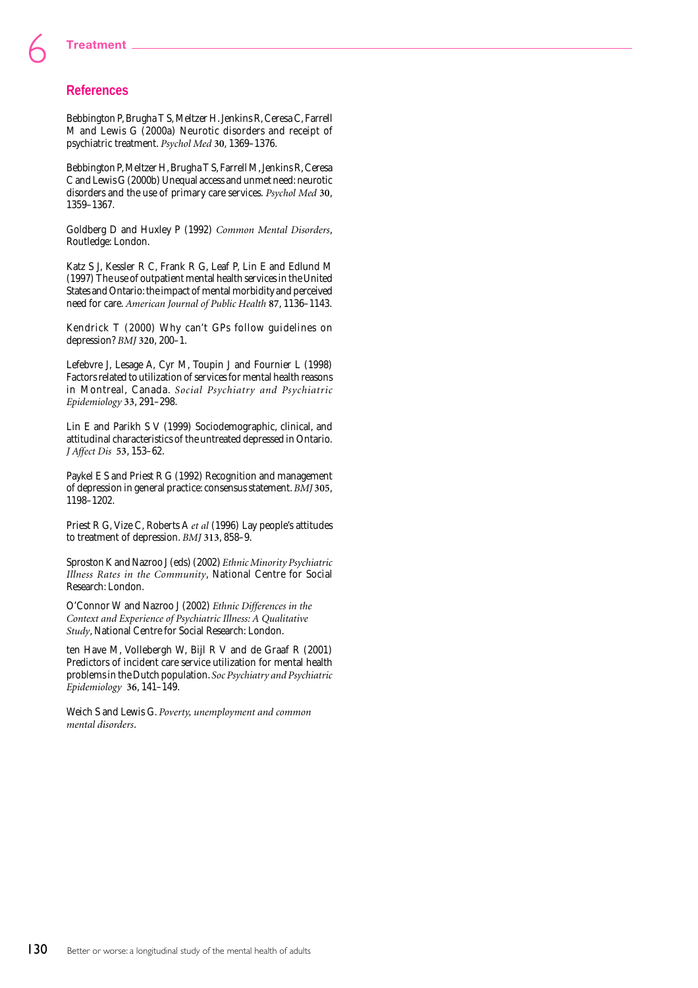## **References**

Bebbington P, Brugha T S, Meltzer H. Jenkins R, Ceresa C, Farrell M and Lewis G (2000a) Neurotic disorders and receipt of psychiatric treatment. *Psychol Med* **30**, 1369–1376.

Bebbington P, Meltzer H, Brugha T S, Farrell M, Jenkins R, Ceresa C and Lewis G (2000b) Unequal access and unmet need: neurotic disorders and the use of primary care services. *Psychol Med* **30**, 1359–1367.

Goldberg D and Huxley P (1992) *Common Mental Disorders*, Routledge: London.

Katz S J, Kessler R C, Frank R G, Leaf P, Lin E and Edlund M (1997) The use of outpatient mental health services in the United States and Ontario: the impact of mental morbidity and perceived need for care. *American Journal of Public Health* **87**, 1136–1143.

Kendrick T (2000) Why can't GPs follow guidelines on depression? *BMJ* **320**, 200–1.

Lefebvre J, Lesage A, Cyr M, Toupin J and Fournier L (1998) Factors related to utilization of services for mental health reasons in Montreal, Canada. *Social Psychiatry and Psychiatric Epidemiology* **33**, 291–298.

Lin E and Parikh S V (1999) Sociodemographic, clinical, and attitudinal characteristics of the untreated depressed in Ontario. *J Affect Dis* **53**, 153–62.

Paykel E S and Priest R G (1992) Recognition and management of depression in general practice: consensus statement. *BMJ* **305**, 1198–1202.

Priest R G, Vize C, Roberts A *et al* (1996) Lay people's attitudes to treatment of depression. *BMJ* **313**, 858–9.

Sproston K and Nazroo J (eds) (2002) *Ethnic Minority Psychiatric Illness Rates in the Community*, National Centre for Social Research: London.

O'Connor W and Nazroo J (2002) *Ethnic Differences in the Context and Experience of Psychiatric Illness: A Qualitative Study*, National Centre for Social Research: London.

ten Have M, Vollebergh W, Bijl R V and de Graaf R (2001) Predictors of incident care service utilization for mental health problems in the Dutch population. *Soc Psychiatry and Psychiatric Epidemiology* **36**, 141–149.

Weich S and Lewis G. *Poverty, unemployment and common mental disorders*.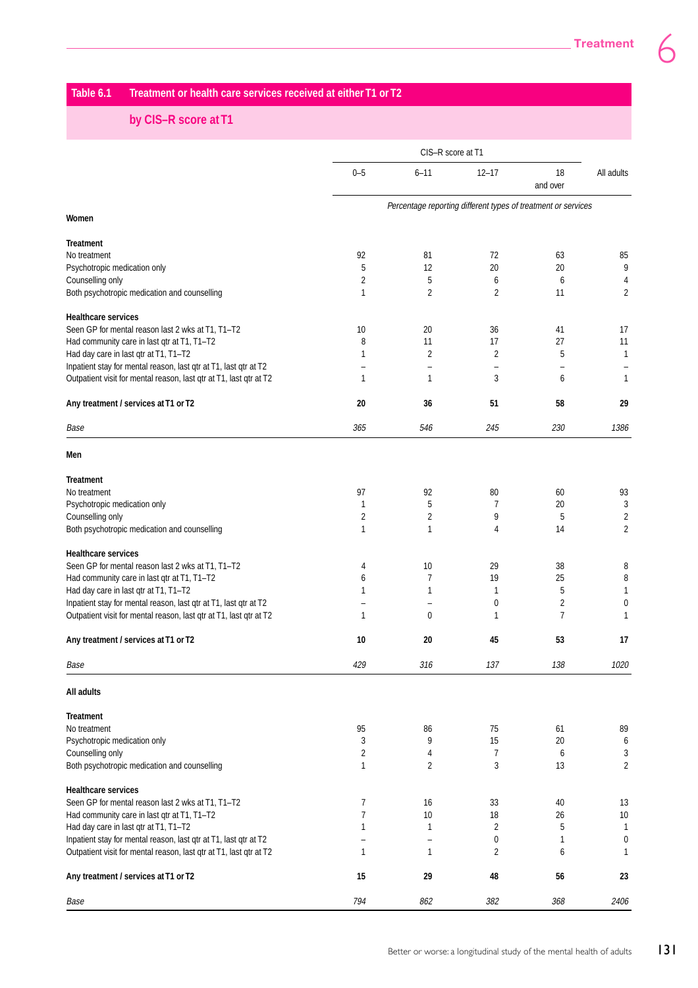## **Table 6.1 Treatment or health care services received at either T1 or T2**

# **by CIS–R score at T1**

|                                                                                                                                        | CIS-R score at T1 |                |                                                               |                         |                |  |  |
|----------------------------------------------------------------------------------------------------------------------------------------|-------------------|----------------|---------------------------------------------------------------|-------------------------|----------------|--|--|
|                                                                                                                                        | $0 - 5$           | $6 - 11$       | $12 - 17$                                                     | 18<br>and over          | All adults     |  |  |
|                                                                                                                                        |                   |                | Percentage reporting different types of treatment or services |                         |                |  |  |
| Women                                                                                                                                  |                   |                |                                                               |                         |                |  |  |
| Treatment                                                                                                                              |                   |                |                                                               |                         |                |  |  |
| No treatment                                                                                                                           | 92                | 81             | 72                                                            | 63                      | 85             |  |  |
| Psychotropic medication only                                                                                                           | 5                 | 12             | 20                                                            | 20                      | 9              |  |  |
| Counselling only                                                                                                                       | 2                 | 5              | 6                                                             | 6                       | 4              |  |  |
| Both psychotropic medication and counselling                                                                                           | 1                 | 2              | 2                                                             | 11                      | 2              |  |  |
| <b>Healthcare services</b>                                                                                                             |                   |                |                                                               |                         |                |  |  |
| Seen GP for mental reason last 2 wks at T1, T1-T2                                                                                      | 10                | 20             | 36                                                            | 41                      | 17             |  |  |
| Had community care in last qtr at T1, T1-T2                                                                                            | 8                 | 11             | 17                                                            | 27                      | 11             |  |  |
| Had day care in last qtr at T1, T1-T2                                                                                                  | 1                 | $\overline{2}$ | 2                                                             | 5                       | $\mathbf{1}$   |  |  |
| Inpatient stay for mental reason, last qtr at T1, last qtr at T2<br>Outpatient visit for mental reason, last qtr at T1, last qtr at T2 | 1                 | 1              | 3                                                             | 6                       | 1              |  |  |
|                                                                                                                                        |                   |                |                                                               |                         |                |  |  |
| Any treatment / services at T1 or T2                                                                                                   | 20                | 36             | 51                                                            | 58                      | 29             |  |  |
| Base                                                                                                                                   | 365               | 546            | 245                                                           | 230                     | 1386           |  |  |
| Men                                                                                                                                    |                   |                |                                                               |                         |                |  |  |
| <b>Treatment</b>                                                                                                                       |                   |                |                                                               |                         |                |  |  |
| No treatment                                                                                                                           | 97                | 92             | 80                                                            | 60                      | 93             |  |  |
| Psychotropic medication only                                                                                                           | 1                 | 5              | $\overline{7}$                                                | 20                      | 3              |  |  |
| Counselling only                                                                                                                       | 2                 | 2              | 9                                                             | 5                       | $\overline{2}$ |  |  |
| Both psychotropic medication and counselling                                                                                           | 1                 | 1              | 4                                                             | 14                      | $\overline{2}$ |  |  |
| <b>Healthcare services</b>                                                                                                             |                   |                |                                                               |                         |                |  |  |
| Seen GP for mental reason last 2 wks at T1, T1-T2                                                                                      | 4                 | 10             | 29                                                            | 38                      | 8              |  |  |
| Had community care in last qtr at T1, T1-T2                                                                                            | 6                 | 7              | 19                                                            | 25                      | 8              |  |  |
| Had day care in last qtr at T1, T1-T2                                                                                                  | 1                 | 1              | 1                                                             | 5                       | 1              |  |  |
| Inpatient stay for mental reason, last qtr at T1, last qtr at T2                                                                       |                   |                | 0                                                             | $\overline{\mathbf{c}}$ | 0              |  |  |
| Outpatient visit for mental reason, last qtr at T1, last qtr at T2                                                                     | 1                 | 0              | 1                                                             | $\overline{7}$          | $\mathbf{1}$   |  |  |
| Any treatment / services at T1 or T2                                                                                                   | 10                | 20             | 45                                                            | 53                      | 17             |  |  |
| Base                                                                                                                                   | 429               | 316            | 137                                                           | 138                     | 1020           |  |  |
| All adults                                                                                                                             |                   |                |                                                               |                         |                |  |  |
| Treatment                                                                                                                              |                   |                |                                                               |                         |                |  |  |
| No treatment                                                                                                                           | 95                | 86             | 75                                                            | 61                      | 89             |  |  |
| Psychotropic medication only                                                                                                           | 3                 | 9              | 15                                                            | 20                      | 6              |  |  |
| Counselling only                                                                                                                       | 2                 | 4              | 7                                                             | 6                       | 3              |  |  |
| Both psychotropic medication and counselling                                                                                           | 1                 | 2              | 3                                                             | 13                      | $\overline{2}$ |  |  |
| <b>Healthcare services</b>                                                                                                             |                   |                |                                                               |                         |                |  |  |
| Seen GP for mental reason last 2 wks at T1, T1-T2                                                                                      | 7                 | 16             | 33                                                            | 40                      | 13             |  |  |
| Had community care in last qtr at T1, T1-T2                                                                                            | 7                 | $10$           | 18                                                            | 26                      | $10\,$         |  |  |
| Had day care in last qtr at T1, T1-T2                                                                                                  | 1                 | 1              | 2                                                             | 5                       | $\mathbf{1}$   |  |  |
| Inpatient stay for mental reason, last qtr at T1, last qtr at T2                                                                       |                   | -              | 0                                                             | 1                       | 0              |  |  |
| Outpatient visit for mental reason, last qtr at T1, last qtr at T2                                                                     | 1                 | 1              | 2                                                             | 6                       | 1              |  |  |
| Any treatment / services at T1 or T2                                                                                                   | 15                | 29             | 48                                                            | 56                      | 23             |  |  |
| Base                                                                                                                                   | 794               | 862            | 382                                                           | 368                     | 2406           |  |  |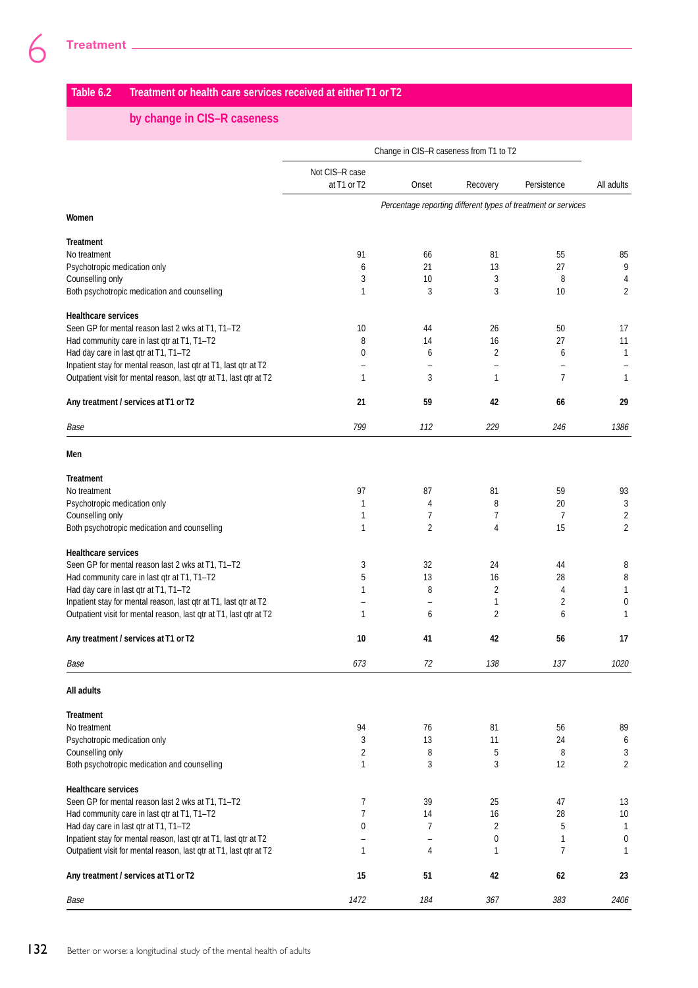# **Table 6.2 Treatment or health care services received at either T1 or T2**

# **by change in CIS–R caseness**

|                                                                    | Change in CIS-R caseness from T1 to T2 |                |          |                                                               |                          |  |  |
|--------------------------------------------------------------------|----------------------------------------|----------------|----------|---------------------------------------------------------------|--------------------------|--|--|
|                                                                    | Not CIS-R case<br>at T1 or T2          | Onset          | Recovery | Persistence                                                   | All adults               |  |  |
| Women                                                              |                                        |                |          | Percentage reporting different types of treatment or services |                          |  |  |
| <b>Treatment</b>                                                   |                                        |                |          |                                                               |                          |  |  |
| No treatment                                                       | 91                                     | 66             | 81       | 55                                                            | 85                       |  |  |
| Psychotropic medication only                                       | 6                                      | 21             | 13       | 27                                                            | 9                        |  |  |
| Counselling only                                                   | 3                                      | 10             | 3        | 8                                                             | 4                        |  |  |
| Both psychotropic medication and counselling                       | 1                                      | 3              | 3        | 10                                                            | 2                        |  |  |
| <b>Healthcare services</b>                                         |                                        |                |          |                                                               |                          |  |  |
| Seen GP for mental reason last 2 wks at T1, T1-T2                  | 10                                     | 44             | 26       | 50                                                            | 17                       |  |  |
| Had community care in last qtr at T1, T1-T2                        | 8                                      | 14             | 16       | 27                                                            | 11                       |  |  |
| Had day care in last qtr at T1, T1-T2                              | 0                                      | 6              | 2        | 6                                                             | 1                        |  |  |
| Inpatient stay for mental reason, last qtr at T1, last qtr at T2   |                                        |                |          |                                                               | $\overline{\phantom{0}}$ |  |  |
| Outpatient visit for mental reason, last qtr at T1, last qtr at T2 | 1                                      | 3              | 1        | $\overline{7}$                                                | 1                        |  |  |
| Any treatment / services at T1 or T2                               | 21                                     | 59             | 42       | 66                                                            | 29                       |  |  |
| Base                                                               | 799                                    | 112            | 229      | 246                                                           | 1386                     |  |  |
| Men                                                                |                                        |                |          |                                                               |                          |  |  |
| <b>Treatment</b>                                                   |                                        |                |          |                                                               |                          |  |  |
| No treatment                                                       | 97                                     | 87             | 81       | 59                                                            | 93                       |  |  |
| Psychotropic medication only                                       | 1                                      | 4              | 8        | 20                                                            | 3                        |  |  |
| Counselling only                                                   | 1                                      | 7              | 7        | 7                                                             | $\overline{\mathbf{c}}$  |  |  |
| Both psychotropic medication and counselling                       | 1                                      | $\overline{2}$ | 4        | 15                                                            | $\overline{2}$           |  |  |
| <b>Healthcare services</b>                                         |                                        |                |          |                                                               |                          |  |  |
| Seen GP for mental reason last 2 wks at T1, T1-T2                  | 3                                      | 32             | 24       | 44                                                            | 8                        |  |  |
| Had community care in last qtr at T1, T1-T2                        | 5                                      | 13             | 16       | 28                                                            | 8                        |  |  |
| Had day care in last qtr at T1, T1-T2                              | 1                                      | 8              | 2        | 4                                                             | 1                        |  |  |
| Inpatient stay for mental reason, last qtr at T1, last qtr at T2   |                                        |                | 1        | 2                                                             | 0                        |  |  |
| Outpatient visit for mental reason, last qtr at T1, last qtr at T2 | 1                                      | 6              | 2        | 6                                                             | 1                        |  |  |
| Any treatment / services at T1 or T2                               | 10                                     | 41             | 42       | 56                                                            | 17                       |  |  |
| Base                                                               | 673                                    | 72             | 138      | 137                                                           | 1020                     |  |  |
| All adults                                                         |                                        |                |          |                                                               |                          |  |  |
| <b>Treatment</b>                                                   |                                        |                |          |                                                               |                          |  |  |
| No treatment                                                       | 94                                     | 76             | 81       | 56                                                            | 89                       |  |  |
| Psychotropic medication only                                       | 3                                      | 13             | 11       | 24                                                            | 6                        |  |  |
| Counselling only                                                   | 2                                      | 8              | 5        | 8                                                             | 3                        |  |  |
| Both psychotropic medication and counselling                       | 1                                      | 3              | 3        | 12                                                            | $\overline{2}$           |  |  |
| <b>Healthcare services</b>                                         |                                        |                |          |                                                               |                          |  |  |
| Seen GP for mental reason last 2 wks at T1, T1-T2                  | 7                                      | 39             | 25       | 47                                                            | 13                       |  |  |
| Had community care in last qtr at T1, T1-T2                        | 7                                      | 14             | 16       | 28                                                            | 10                       |  |  |
| Had day care in last qtr at T1, T1-T2                              | 0                                      | 7              | 2        | 5                                                             | 1                        |  |  |
| Inpatient stay for mental reason, last qtr at T1, last qtr at T2   |                                        |                | 0        | 1                                                             | 0                        |  |  |
| Outpatient visit for mental reason, last qtr at T1, last qtr at T2 | 1                                      | 4              | 1        | $\overline{7}$                                                | 1                        |  |  |
| Any treatment / services at T1 or T2                               | 15                                     | 51             | 42       | 62                                                            | 23                       |  |  |
| Base                                                               | 1472                                   | 184            | 367      | 383                                                           | 2406                     |  |  |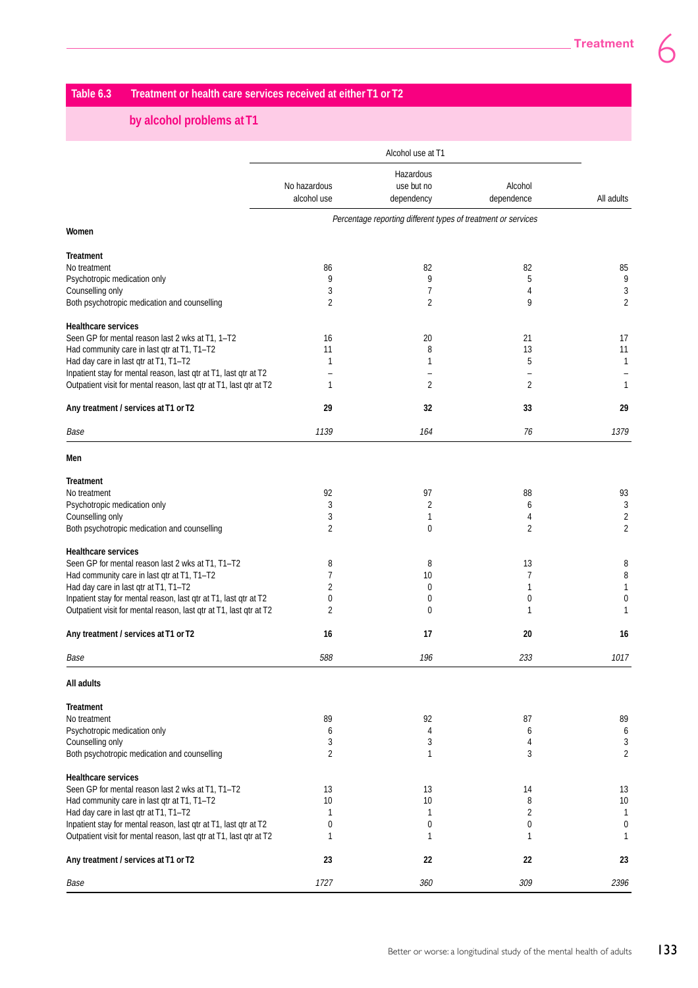# **Table 6.3 Treatment or health care services received at either T1 or T2**

# **by alcohol problems at T1**

|                                                                                                                                        | Alcohol use at T1 |                                                               |                          |                         |  |  |  |
|----------------------------------------------------------------------------------------------------------------------------------------|-------------------|---------------------------------------------------------------|--------------------------|-------------------------|--|--|--|
|                                                                                                                                        |                   | Hazardous                                                     |                          |                         |  |  |  |
|                                                                                                                                        | No hazardous      | use but no                                                    | Alcohol                  |                         |  |  |  |
|                                                                                                                                        | alcohol use       | dependency                                                    | dependence               | All adults              |  |  |  |
|                                                                                                                                        |                   | Percentage reporting different types of treatment or services |                          |                         |  |  |  |
| Women                                                                                                                                  |                   |                                                               |                          |                         |  |  |  |
| <b>Treatment</b>                                                                                                                       |                   |                                                               |                          |                         |  |  |  |
| No treatment                                                                                                                           | 86                | 82                                                            | 82                       | 85                      |  |  |  |
| Psychotropic medication only                                                                                                           | 9                 | 9                                                             | 5                        | 9                       |  |  |  |
| Counselling only                                                                                                                       | 3                 | 7                                                             | 4                        | 3                       |  |  |  |
| Both psychotropic medication and counselling                                                                                           | 2                 | $\overline{2}$                                                | 9                        | $\overline{2}$          |  |  |  |
| <b>Healthcare services</b>                                                                                                             |                   |                                                               |                          |                         |  |  |  |
| Seen GP for mental reason last 2 wks at T1, 1-T2                                                                                       | 16                | 20                                                            | 21                       | 17                      |  |  |  |
| Had community care in last qtr at T1, T1-T2                                                                                            | 11                | 8                                                             | 13                       | 11                      |  |  |  |
| Had day care in last qtr at T1, T1-T2                                                                                                  | 1                 | 1                                                             | 5                        | $\mathbf{1}$            |  |  |  |
| Inpatient stay for mental reason, last qtr at T1, last qtr at T2                                                                       |                   |                                                               | $\overline{\phantom{0}}$ |                         |  |  |  |
| Outpatient visit for mental reason, last qtr at T1, last qtr at T2                                                                     | 1                 | $\overline{2}$                                                | 2                        | $\mathbf{1}$            |  |  |  |
| Any treatment / services at T1 or T2                                                                                                   | 29                | 32                                                            | 33                       | 29                      |  |  |  |
| Base                                                                                                                                   | 1139              | 164                                                           | 76                       | 1379                    |  |  |  |
| Men                                                                                                                                    |                   |                                                               |                          |                         |  |  |  |
| <b>Treatment</b>                                                                                                                       |                   |                                                               |                          |                         |  |  |  |
| No treatment                                                                                                                           | 92                | 97                                                            | 88                       | 93                      |  |  |  |
| Psychotropic medication only                                                                                                           | 3                 | 2                                                             | 6                        | 3                       |  |  |  |
| Counselling only                                                                                                                       | 3                 | 1                                                             | 4                        | $\overline{\mathbf{c}}$ |  |  |  |
| Both psychotropic medication and counselling                                                                                           | 2                 | 0                                                             | 2                        | $\overline{2}$          |  |  |  |
| <b>Healthcare services</b>                                                                                                             |                   |                                                               |                          |                         |  |  |  |
| Seen GP for mental reason last 2 wks at T1, T1-T2                                                                                      | 8                 | 8                                                             | 13                       | 8                       |  |  |  |
| Had community care in last qtr at T1, T1-T2                                                                                            | 7                 | 10                                                            | $\overline{7}$           | 8                       |  |  |  |
| Had day care in last qtr at T1, T1-T2                                                                                                  | 2                 | 0                                                             | 1                        | $\mathbf{1}$            |  |  |  |
| Inpatient stay for mental reason, last qtr at T1, last qtr at T2                                                                       | 0                 | 0                                                             | 0                        | 0                       |  |  |  |
| Outpatient visit for mental reason, last qtr at T1, last qtr at T2                                                                     | 2                 | 0                                                             | 1                        | $\mathbf{1}$            |  |  |  |
| Any treatment / services at T1 or T2                                                                                                   | 16                | 17                                                            | 20                       | 16                      |  |  |  |
| Base                                                                                                                                   | 588               | 196                                                           | 233                      | 1017                    |  |  |  |
| All adults                                                                                                                             |                   |                                                               |                          |                         |  |  |  |
| <b>Treatment</b>                                                                                                                       |                   |                                                               |                          |                         |  |  |  |
| No treatment                                                                                                                           | 89                | 92                                                            | 87                       | 89                      |  |  |  |
| Psychotropic medication only                                                                                                           | 6                 | 4                                                             | 6                        | 6                       |  |  |  |
| Counselling only                                                                                                                       | 3                 | 3                                                             | 4                        | 3                       |  |  |  |
| Both psychotropic medication and counselling                                                                                           | 2                 | 1                                                             | 3                        | 2                       |  |  |  |
| <b>Healthcare services</b>                                                                                                             |                   |                                                               |                          |                         |  |  |  |
| Seen GP for mental reason last 2 wks at T1, T1-T2                                                                                      | 13                | 13                                                            | 14                       | 13                      |  |  |  |
| Had community care in last qtr at T1, T1-T2                                                                                            | 10                | 10                                                            | 8                        | 10                      |  |  |  |
| Had day care in last qtr at T1, T1-T2                                                                                                  | 1                 | 1                                                             | 2                        | 1                       |  |  |  |
| Inpatient stay for mental reason, last qtr at T1, last qtr at T2<br>Outpatient visit for mental reason, last qtr at T1, last qtr at T2 | 0<br>1            | 0<br>1                                                        | 0<br>1                   | 0<br>1                  |  |  |  |
|                                                                                                                                        |                   |                                                               |                          |                         |  |  |  |
| Any treatment / services at T1 or T2                                                                                                   | 23                | 22                                                            | 22                       | 23                      |  |  |  |
| Base                                                                                                                                   | 1727              | 360                                                           | 309                      | 2396                    |  |  |  |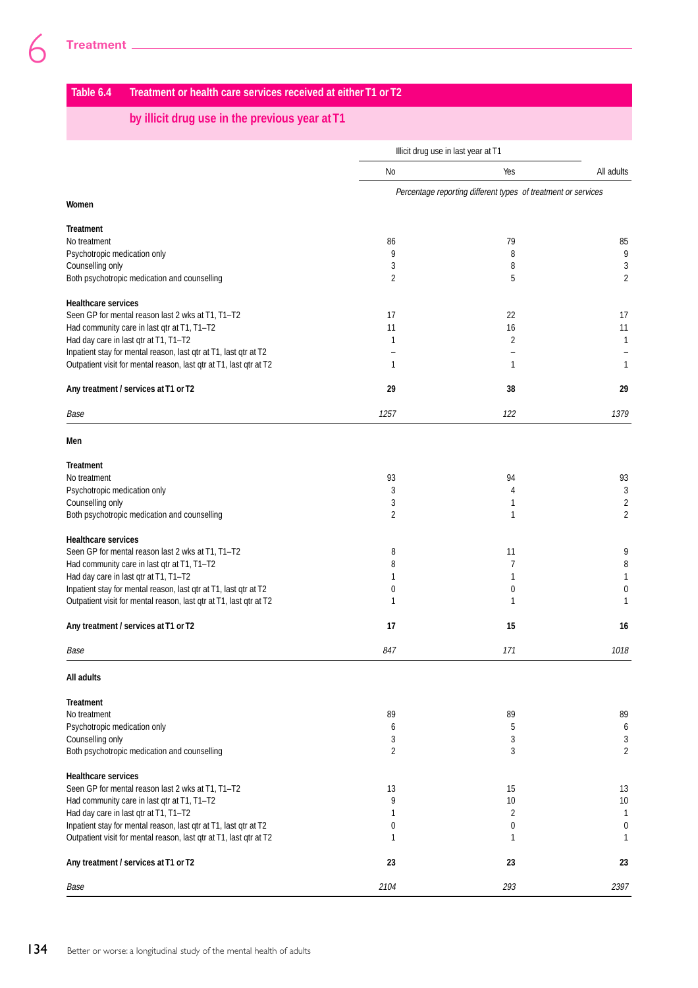# **Table 6.4 Treatment or health care services received at either T1 or T2**

## **by illicit drug use in the previous year at T1**

|                                                                                      |                | Illicit drug use in last year at T1                           |                   |
|--------------------------------------------------------------------------------------|----------------|---------------------------------------------------------------|-------------------|
|                                                                                      | No             | Yes                                                           | All adults        |
| Women                                                                                |                | Percentage reporting different types of treatment or services |                   |
| <b>Treatment</b>                                                                     |                |                                                               |                   |
| No treatment                                                                         | 86             | 79                                                            | 85                |
| Psychotropic medication only                                                         | 9              | 8                                                             | 9                 |
| Counselling only                                                                     | 3              | 8                                                             | 3                 |
| Both psychotropic medication and counselling                                         | 2              | 5                                                             | $\overline{2}$    |
| <b>Healthcare services</b>                                                           |                |                                                               |                   |
| Seen GP for mental reason last 2 wks at T1, T1-T2                                    | 17             | 22                                                            | 17                |
| Had community care in last qtr at T1, T1-T2                                          | 11             | 16                                                            | 11                |
| Had day care in last qtr at T1, T1-T2                                                | 1              | $\overline{2}$                                                | 1                 |
| Inpatient stay for mental reason, last qtr at T1, last qtr at T2                     |                |                                                               |                   |
| Outpatient visit for mental reason, last qtr at T1, last qtr at T2                   | $\mathbf{1}$   | $\mathbf{1}$                                                  | 1                 |
| Any treatment / services at T1 or T2                                                 | 29             | 38                                                            | 29                |
| Base                                                                                 | 1257           | 122                                                           | 1379              |
| Men                                                                                  |                |                                                               |                   |
| <b>Treatment</b>                                                                     |                |                                                               |                   |
| No treatment                                                                         | 93             | 94                                                            | 93                |
| Psychotropic medication only                                                         | 3              | 4                                                             | 3                 |
| Counselling only                                                                     | 3              | 1                                                             | $\overline{2}$    |
| Both psychotropic medication and counselling                                         | $\overline{2}$ | 1                                                             | $\overline{2}$    |
| <b>Healthcare services</b>                                                           |                |                                                               |                   |
| Seen GP for mental reason last 2 wks at T1, T1-T2                                    | 8              | 11                                                            | 9                 |
| Had community care in last qtr at T1, T1-T2                                          | 8              | 7                                                             | 8                 |
| Had day care in last qtr at T1, T1-T2                                                | 1              | 1                                                             | 1                 |
| Inpatient stay for mental reason, last qtr at T1, last qtr at T2                     | 0              | 0                                                             | 0                 |
| Outpatient visit for mental reason, last qtr at T1, last qtr at T2                   | 1              | 1                                                             | 1                 |
| Any treatment / services at T1 or T2                                                 | 17             | 15                                                            | 16                |
| Base                                                                                 | 847            | 171                                                           | 1018              |
| All adults                                                                           |                |                                                               |                   |
| <b>Treatment</b>                                                                     |                |                                                               |                   |
| No treatment                                                                         | 89             | 89                                                            | 89                |
| Psychotropic medication only                                                         | 6              | 5                                                             | 6                 |
| Counselling only                                                                     | 3              | 3                                                             | 3                 |
| Both psychotropic medication and counselling                                         | $\overline{2}$ | 3                                                             | $\overline{2}$    |
| <b>Healthcare services</b>                                                           |                |                                                               |                   |
| Seen GP for mental reason last 2 wks at T1, T1-T2                                    | 13             | 15                                                            | 13                |
| Had community care in last qtr at T1, T1-T2<br>Had day care in last qtr at T1, T1-T2 | 9<br>1         | 10<br>2                                                       | 10                |
| Inpatient stay for mental reason, last qtr at T1, last qtr at T2                     | 0              | 0                                                             | $\mathbf{1}$<br>0 |
| Outpatient visit for mental reason, last qtr at T1, last qtr at T2                   | 1              | 1                                                             | 1                 |
|                                                                                      |                |                                                               |                   |
| Any treatment / services at T1 or T2                                                 | 23             | 23                                                            | 23                |
| Base                                                                                 | 2104           | 293                                                           | 2397              |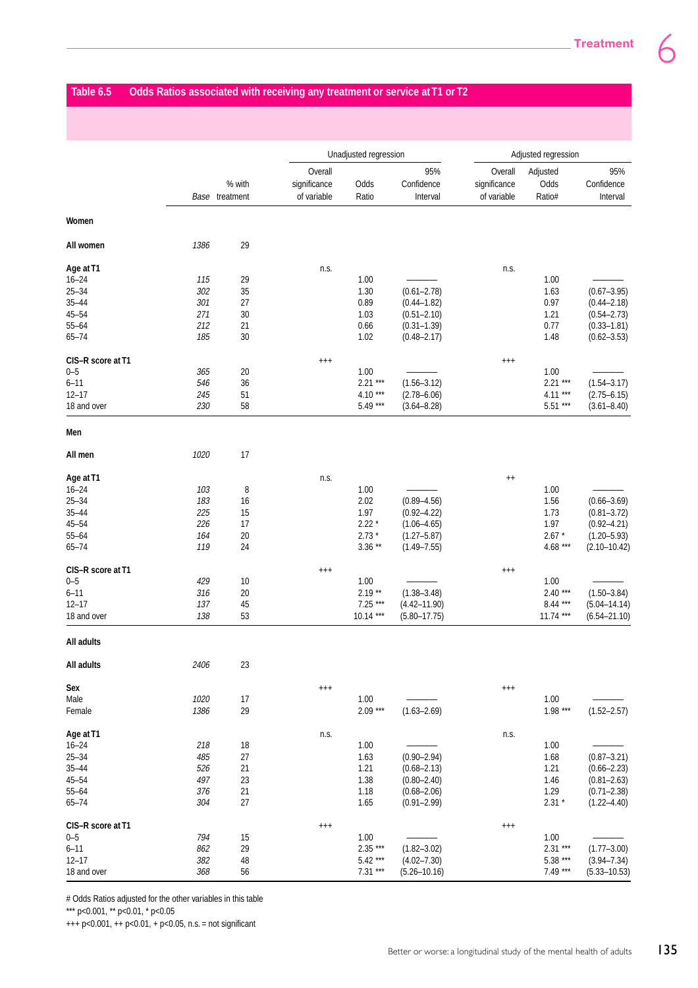# **Table 6.5 Odds Ratios associated with receiving any treatment or service at T1 or T2**

|                   |      |                          |                                        | Unadjusted regression |                               |                                        | Adjusted regression        |                               |  |
|-------------------|------|--------------------------|----------------------------------------|-----------------------|-------------------------------|----------------------------------------|----------------------------|-------------------------------|--|
|                   |      | % with<br>Base treatment | Overall<br>significance<br>of variable | Odds<br>Ratio         | 95%<br>Confidence<br>Interval | Overall<br>significance<br>of variable | Adjusted<br>Odds<br>Ratio# | 95%<br>Confidence<br>Interval |  |
| Women             |      |                          |                                        |                       |                               |                                        |                            |                               |  |
| All women         | 1386 | 29                       |                                        |                       |                               |                                        |                            |                               |  |
| Age at T1         |      |                          | n.s.                                   |                       |                               | n.s.                                   |                            |                               |  |
| $16 - 24$         | 115  | 29                       |                                        | 1.00                  |                               |                                        | 1.00                       |                               |  |
| $25 - 34$         | 302  | 35                       |                                        | 1.30                  | $(0.61 - 2.78)$               |                                        | 1.63                       | $(0.67 - 3.95)$               |  |
| $35 - 44$         | 301  | 27                       |                                        | 0.89                  | $(0.44 - 1.82)$               |                                        | 0.97                       | $(0.44 - 2.18)$               |  |
| $45 - 54$         | 271  | 30                       |                                        | 1.03                  | $(0.51 - 2.10)$               |                                        | 1.21                       | $(0.54 - 2.73)$               |  |
| $55 - 64$         | 212  | 21                       |                                        | 0.66                  | $(0.31 - 1.39)$               |                                        | 0.77                       | $(0.33 - 1.81)$               |  |
| $65 - 74$         | 185  | 30                       |                                        | 1.02                  | $(0.48 - 2.17)$               |                                        | 1.48                       | $(0.62 - 3.53)$               |  |
| CIS-R score at T1 |      |                          | $^{+++}$                               |                       |                               | $^{+++}$                               |                            |                               |  |
| $0 - 5$           | 365  | 20                       |                                        | 1.00                  |                               |                                        | 1.00                       |                               |  |
| $6 - 11$          | 546  | 36                       |                                        | $2.21***$             | $(1.56 - 3.12)$               |                                        | $2.21***$                  | $(1.54 - 3.17)$               |  |
| $12 - 17$         | 245  | 51                       |                                        | $4.10***$             | $(2.78 - 6.06)$               |                                        | $4.11***$                  | $(2.75 - 6.15)$               |  |
| 18 and over       | 230  | 58                       |                                        | 5.49 ***              | $(3.64 - 8.28)$               |                                        | $5.51***$                  | $(3.61 - 8.40)$               |  |
| Men               |      |                          |                                        |                       |                               |                                        |                            |                               |  |
| All men           | 1020 | 17                       |                                        |                       |                               |                                        |                            |                               |  |
| Age at T1         |      |                          | n.s.                                   |                       |                               | $^{++}$                                |                            |                               |  |
| $16 - 24$         | 103  | 8                        |                                        | 1.00                  |                               |                                        | 1.00                       |                               |  |
| $25 - 34$         | 183  | 16                       |                                        | 2.02                  | $(0.89 - 4.56)$               |                                        | 1.56                       | $(0.66 - 3.69)$               |  |
| $35 - 44$         | 225  | 15                       |                                        | 1.97                  | $(0.92 - 4.22)$               |                                        | 1.73                       | $(0.81 - 3.72)$               |  |
| $45 - 54$         | 226  | 17                       |                                        | $2.22*$               | $(1.06 - 4.65)$               |                                        | 1.97                       | $(0.92 - 4.21)$               |  |
| $55 - 64$         | 164  | 20                       |                                        | $2.73*$               | $(1.27 - 5.87)$               |                                        | $2.67 *$                   | $(1.20 - 5.93)$               |  |
| $65 - 74$         | 119  | 24                       |                                        | $3.36**$              | $(1.49 - 7.55)$               |                                        | 4.68 ***                   | $(2.10 - 10.42)$              |  |
| CIS-R score at T1 |      |                          | $^{+++}$                               |                       |                               | $^{+++}$                               |                            |                               |  |
| $0 - 5$           | 429  | 10                       |                                        | 1.00                  |                               |                                        | 1.00                       |                               |  |
| $6 - 11$          | 316  | 20                       |                                        | $2.19**$              | $(1.38 - 3.48)$               |                                        | $2.40***$                  | $(1.50 - 3.84)$               |  |
| $12 - 17$         | 137  |                          |                                        | $7.25***$             | $(4.42 - 11.90)$              |                                        | $8.44***$                  | $(5.04 - 14.14)$              |  |
| 18 and over       | 138  | 45<br>53                 |                                        | $10.14***$            | $(5.80 - 17.75)$              |                                        | $11.74***$                 | $(6.54 - 21.10)$              |  |
| All adults        |      |                          |                                        |                       |                               |                                        |                            |                               |  |
| All adults        | 2406 | 23                       |                                        |                       |                               |                                        |                            |                               |  |
| Sex               |      |                          | $^{+++}$                               |                       |                               | $^{+++}$                               |                            |                               |  |
| Male              | 1020 | 17                       |                                        | 1.00                  |                               |                                        | 1.00                       |                               |  |
| Female            | 1386 | 29                       |                                        | $2.09***$             | $(1.63 - 2.69)$               |                                        | $1.98***$                  | $(1.52 - 2.57)$               |  |
| Age at T1         |      |                          | n.s.                                   |                       |                               | n.s.                                   |                            |                               |  |
| $16 - 24$         | 218  | 18                       |                                        | 1.00                  |                               |                                        | 1.00                       |                               |  |
| $25 - 34$         | 485  | $27\,$                   |                                        | 1.63                  | $(0.90 - 2.94)$               |                                        | 1.68                       | $(0.87 - 3.21)$               |  |
| $35 - 44$         | 526  | 21                       |                                        | 1.21                  | $(0.68 - 2.13)$               |                                        | 1.21                       | $(0.66 - 2.23)$               |  |
| $45 - 54$         | 497  | 23                       |                                        | 1.38                  | $(0.80 - 2.40)$               |                                        | 1.46                       | $(0.81 - 2.63)$               |  |
| $55 - 64$         | 376  | 21                       |                                        | 1.18                  | $(0.68 - 2.06)$               |                                        | 1.29                       | $(0.71 - 2.38)$               |  |
| $65 - 74$         | 304  | 27                       |                                        | 1.65                  | $(0.91 - 2.99)$               |                                        | $2.31 *$                   | $(1.22 - 4.40)$               |  |
| CIS-R score at T1 |      |                          | $^{+++}$                               |                       |                               | $^{+++}$                               |                            |                               |  |
| $0 - 5$           | 794  | 15                       |                                        | 1.00                  |                               |                                        | 1.00                       |                               |  |
| $6 - 11$          | 862  | 29                       |                                        | $2.35***$             | $(1.82 - 3.02)$               |                                        | $2.31***$                  | $(1.77 - 3.00)$               |  |
| $12 - 17$         | 382  | 48                       |                                        | $5.42***$             | $(4.02 - 7.30)$               |                                        | 5.38 ***                   | $(3.94 - 7.34)$               |  |
| 18 and over       | 368  | 56                       |                                        | $7.31***$             | $(5.26 - 10.16)$              |                                        | $7.49***$                  | $(5.33 - 10.53)$              |  |

# Odds Ratios adjusted for the other variables in this table

\*\*\* p<0.001, \*\* p<0.01, \* p<0.05

+++ p<0.001, ++ p<0.01, + p<0.05, n.s. = not significant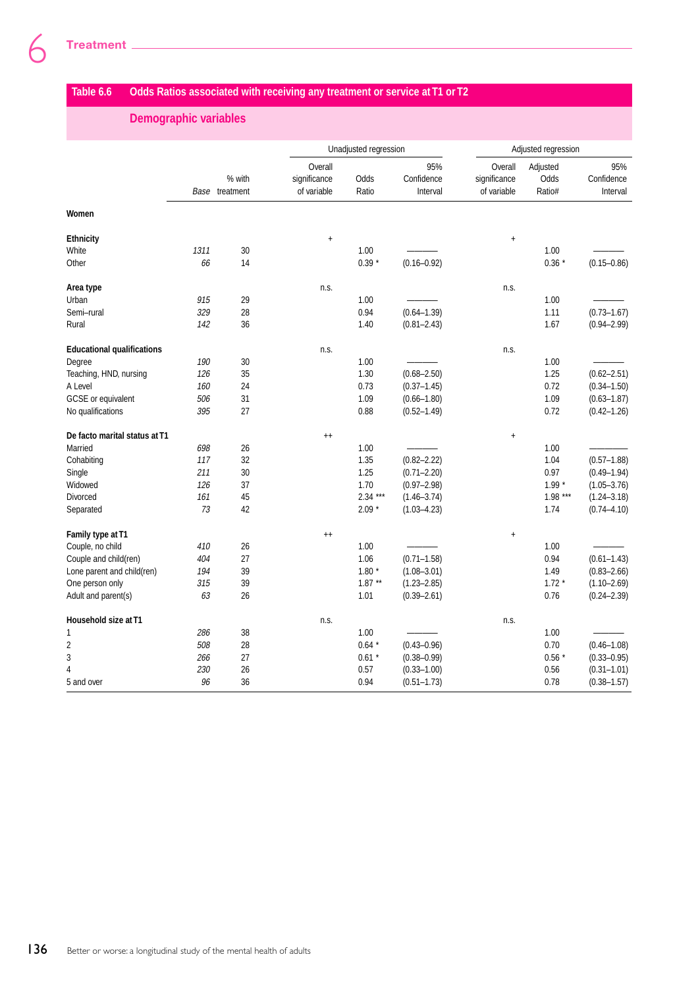# **Table 6.6 Odds Ratios associated with receiving any treatment or service at T1 or T2**

## **Demographic variables**

|                                   |      |                          |                                        | Unadjusted regression |                               |                                        | Adjusted regression        |                               |
|-----------------------------------|------|--------------------------|----------------------------------------|-----------------------|-------------------------------|----------------------------------------|----------------------------|-------------------------------|
|                                   |      | % with<br>Base treatment | Overall<br>significance<br>of variable | Odds<br>Ratio         | 95%<br>Confidence<br>Interval | Overall<br>significance<br>of variable | Adjusted<br>Odds<br>Ratio# | 95%<br>Confidence<br>Interval |
| Women                             |      |                          |                                        |                       |                               |                                        |                            |                               |
| Ethnicity                         |      |                          | $\ddag$                                |                       |                               | $\ddot{}$                              |                            |                               |
| White                             | 1311 | 30                       |                                        | 1.00                  |                               |                                        | 1.00                       |                               |
| Other                             | 66   | 14                       |                                        | $0.39 *$              | $(0.16 - 0.92)$               |                                        | $0.36*$                    | $(0.15 - 0.86)$               |
| Area type                         |      |                          | n.s.                                   |                       |                               | n.s.                                   |                            |                               |
| Urban                             | 915  | 29                       |                                        | 1.00                  |                               |                                        | 1.00                       |                               |
| Semi-rural                        | 329  | 28                       |                                        | 0.94                  | $(0.64 - 1.39)$               |                                        | 1.11                       | $(0.73 - 1.67)$               |
| Rural                             | 142  | 36                       |                                        | 1.40                  | $(0.81 - 2.43)$               |                                        | 1.67                       | $(0.94 - 2.99)$               |
| <b>Educational qualifications</b> |      |                          | n.s.                                   |                       |                               | n.s.                                   |                            |                               |
| Degree                            | 190  | 30                       |                                        | 1.00                  |                               |                                        | 1.00                       |                               |
| Teaching, HND, nursing            | 126  | 35                       |                                        | 1.30                  | $(0.68 - 2.50)$               |                                        | 1.25                       | $(0.62 - 2.51)$               |
| A Level                           | 160  | 24                       |                                        | 0.73                  | $(0.37 - 1.45)$               |                                        | 0.72                       | $(0.34 - 1.50)$               |
| GCSE or equivalent                | 506  | 31                       |                                        | 1.09                  | $(0.66 - 1.80)$               |                                        | 1.09                       | $(0.63 - 1.87)$               |
| No qualifications                 | 395  | 27                       |                                        | 0.88                  | $(0.52 - 1.49)$               |                                        | 0.72                       | $(0.42 - 1.26)$               |
| De facto marital status at T1     |      |                          | $^{++}$                                |                       |                               | $\ddagger$                             |                            |                               |
| Married                           | 698  | 26                       |                                        | 1.00                  |                               |                                        | 1.00                       |                               |
| Cohabiting                        | 117  | 32                       |                                        | 1.35                  | $(0.82 - 2.22)$               |                                        | 1.04                       | $(0.57 - 1.88)$               |
| Single                            | 211  | 30                       |                                        | 1.25                  | $(0.71 - 2.20)$               |                                        | 0.97                       | $(0.49 - 1.94)$               |
| Widowed                           | 126  | 37                       |                                        | 1.70                  | $(0.97 - 2.98)$               |                                        | $1.99*$                    | $(1.05 - 3.76)$               |
| Divorced                          | 161  | 45                       |                                        | $2.34***$             | $(1.46 - 3.74)$               |                                        | $1.98***$                  | $(1.24 - 3.18)$               |
| Separated                         | 73   | 42                       |                                        | $2.09*$               | $(1.03 - 4.23)$               |                                        | 1.74                       | $(0.74 - 4.10)$               |
| Family type at T1                 |      |                          | $^{++}$                                |                       |                               | $\ddot{}$                              |                            |                               |
| Couple, no child                  | 410  | 26                       |                                        | 1.00                  |                               |                                        | 1.00                       |                               |
| Couple and child(ren)             | 404  | 27                       |                                        | 1.06                  | $(0.71 - 1.58)$               |                                        | 0.94                       | $(0.61 - 1.43)$               |
| Lone parent and child(ren)        | 194  | 39                       |                                        | $1.80*$               | $(1.08 - 3.01)$               |                                        | 1.49                       | $(0.83 - 2.66)$               |
| One person only                   | 315  | 39                       |                                        | $1.87**$              | $(1.23 - 2.85)$               |                                        | $1.72*$                    | $(1.10 - 2.69)$               |
| Adult and parent(s)               | 63   | 26                       |                                        | 1.01                  | $(0.39 - 2.61)$               |                                        | 0.76                       | $(0.24 - 2.39)$               |
| Household size at T1              |      |                          | n.s.                                   |                       |                               | n.s.                                   |                            |                               |
| 1                                 | 286  | 38                       |                                        | 1.00                  |                               |                                        | 1.00                       |                               |
| $\overline{2}$                    | 508  | 28                       |                                        | $0.64*$               | $(0.43 - 0.96)$               |                                        | 0.70                       | $(0.46 - 1.08)$               |
| 3                                 | 266  | 27                       |                                        | $0.61 *$              | $(0.38 - 0.99)$               |                                        | $0.56*$                    | $(0.33 - 0.95)$               |
| $\overline{4}$                    | 230  | 26                       |                                        | 0.57                  | $(0.33 - 1.00)$               |                                        | 0.56                       | $(0.31 - 1.01)$               |
| 5 and over                        | 96   | 36                       |                                        | 0.94                  | $(0.51 - 1.73)$               |                                        | 0.78                       | $(0.38 - 1.57)$               |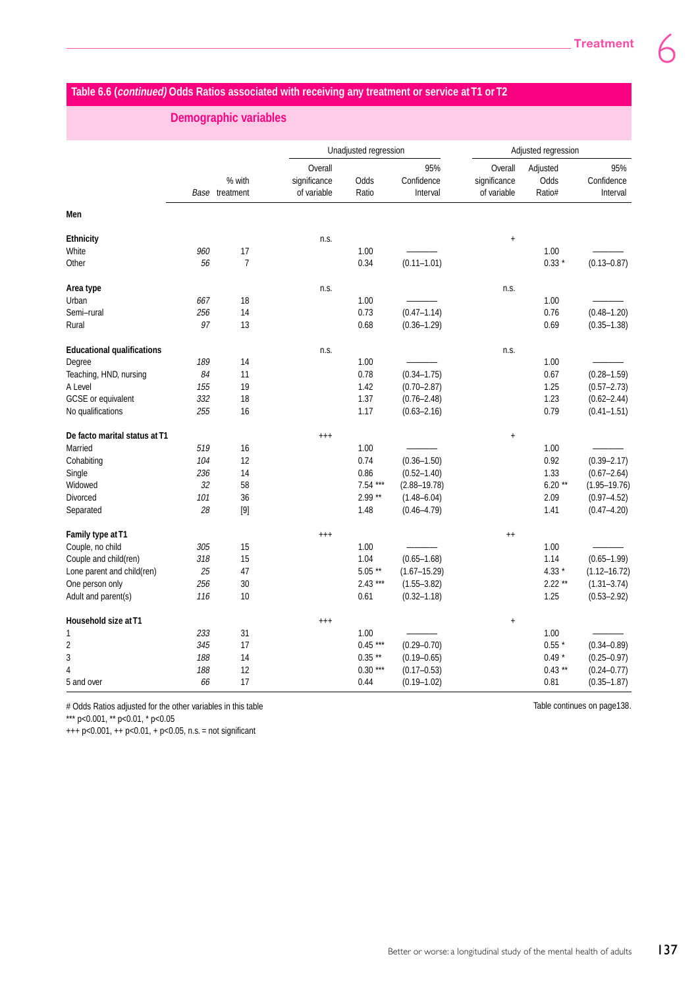# **Table 6.6 (continued) Odds Ratios associated with receiving any treatment or service at T1 or T2**

 **Demographic variables**

|                                   |     |                          |                                        | Unadjusted regression |                               | Adjusted regression                    |                            |                               |
|-----------------------------------|-----|--------------------------|----------------------------------------|-----------------------|-------------------------------|----------------------------------------|----------------------------|-------------------------------|
|                                   |     | % with<br>Base treatment | Overall<br>significance<br>of variable | Odds<br>Ratio         | 95%<br>Confidence<br>Interval | Overall<br>significance<br>of variable | Adjusted<br>Odds<br>Ratio# | 95%<br>Confidence<br>Interval |
| Men                               |     |                          |                                        |                       |                               |                                        |                            |                               |
| <b>Ethnicity</b>                  |     |                          | n.s.                                   |                       |                               | $\ddot{}$                              |                            |                               |
| White                             | 960 | 17                       |                                        | 1.00                  |                               |                                        | 1.00                       |                               |
| Other                             | 56  | $\overline{7}$           |                                        | 0.34                  | $(0.11 - 1.01)$               |                                        | $0.33*$                    | $(0.13 - 0.87)$               |
| Area type                         |     |                          | n.s.                                   |                       |                               | n.s.                                   |                            |                               |
| Urban                             | 667 | 18                       |                                        | 1.00                  |                               |                                        | 1.00                       |                               |
| Semi-rural                        | 256 | 14                       |                                        | 0.73                  | $(0.47 - 1.14)$               |                                        | 0.76                       | $(0.48 - 1.20)$               |
| Rural                             | 97  | 13                       |                                        | 0.68                  | $(0.36 - 1.29)$               |                                        | 0.69                       | $(0.35 - 1.38)$               |
| <b>Educational qualifications</b> |     |                          | n.s.                                   |                       |                               | n.s.                                   |                            |                               |
| Degree                            | 189 | 14                       |                                        | 1.00                  |                               |                                        | 1.00                       |                               |
| Teaching, HND, nursing            | 84  | 11                       |                                        | 0.78                  | $(0.34 - 1.75)$               |                                        | 0.67                       | $(0.28 - 1.59)$               |
| A Level                           | 155 | 19                       |                                        | 1.42                  | $(0.70 - 2.87)$               |                                        | 1.25                       | $(0.57 - 2.73)$               |
| GCSE or equivalent                | 332 | 18                       |                                        | 1.37                  | $(0.76 - 2.48)$               |                                        | 1.23                       | $(0.62 - 2.44)$               |
| No qualifications                 | 255 | 16                       |                                        | 1.17                  | $(0.63 - 2.16)$               |                                        | 0.79                       | $(0.41 - 1.51)$               |
| De facto marital status at T1     |     |                          | $^{++}$                                |                       |                               | $\ddot{}$                              |                            |                               |
| Married                           | 519 | 16                       |                                        | 1.00                  |                               |                                        | 1.00                       |                               |
| Cohabiting                        | 104 | 12                       |                                        | 0.74                  | $(0.36 - 1.50)$               |                                        | 0.92                       | $(0.39 - 2.17)$               |
| Single                            | 236 | 14                       |                                        | 0.86                  | $(0.52 - 1.40)$               |                                        | 1.33                       | $(0.67 - 2.64)$               |
| Widowed                           | 32  | 58                       |                                        | 7.54 ***              | $(2.88 - 19.78)$              |                                        | $6.20**$                   | $(1.95 - 19.76)$              |
| <b>Divorced</b>                   | 101 | 36                       |                                        | $2.99**$              | $(1.48 - 6.04)$               |                                        | 2.09                       | $(0.97 - 4.52)$               |
| Separated                         | 28  |                          |                                        | 1.48                  | $(0.46 - 4.79)$               |                                        | 1.41                       | $(0.47 - 4.20)$               |
| Family type at T1                 |     |                          | $^{+++}$                               |                       |                               | $^{\rm ++}$                            |                            |                               |
| Couple, no child                  | 305 | 15                       |                                        | 1.00                  |                               |                                        | 1.00                       |                               |
| Couple and child(ren)             | 318 | 15                       |                                        | 1.04                  | $(0.65 - 1.68)$               |                                        | 1.14                       | $(0.65 - 1.99)$               |
| Lone parent and child(ren)        | 25  | 47                       |                                        | $5.05**$              | $(1.67 - 15.29)$              |                                        | $4.33*$                    | $(1.12 - 16.72)$              |
| One person only                   | 256 | 30                       |                                        | $2.43***$             | $(1.55 - 3.82)$               |                                        | $2.22**$                   | $(1.31 - 3.74)$               |
| Adult and parent(s)               | 116 | 10                       |                                        | 0.61                  | $(0.32 - 1.18)$               |                                        | 1.25                       | $(0.53 - 2.92)$               |
| Household size at T1              |     |                          | $^{+++}$                               |                       |                               | $\ddot{}$                              |                            |                               |
| 1                                 | 233 | 31                       |                                        | 1.00                  |                               |                                        | 1.00                       |                               |
| 2                                 | 345 | 17                       |                                        | $0.45***$             | $(0.29 - 0.70)$               |                                        | $0.55*$                    | $(0.34 - 0.89)$               |
| 3                                 | 188 | 14                       |                                        | $0.35**$              | $(0.19 - 0.65)$               |                                        | $0.49*$                    | $(0.25 - 0.97)$               |
| 4                                 | 188 | 12                       |                                        | $0.30***$             | $(0.17 - 0.53)$               |                                        | $0.43$ **                  | $(0.24 - 0.77)$               |
| 5 and over                        | 66  | 17                       |                                        | 0.44                  | $(0.19 - 1.02)$               |                                        | 0.81                       | $(0.35 - 1.87)$               |

# Odds Ratios adjusted for the other variables in this table

\*\*\* p<0.001, \*\* p<0.01, \* p<0.05

+++ p<0.001, ++ p<0.01, + p<0.05, n.s. = not significant

Table continues on page138.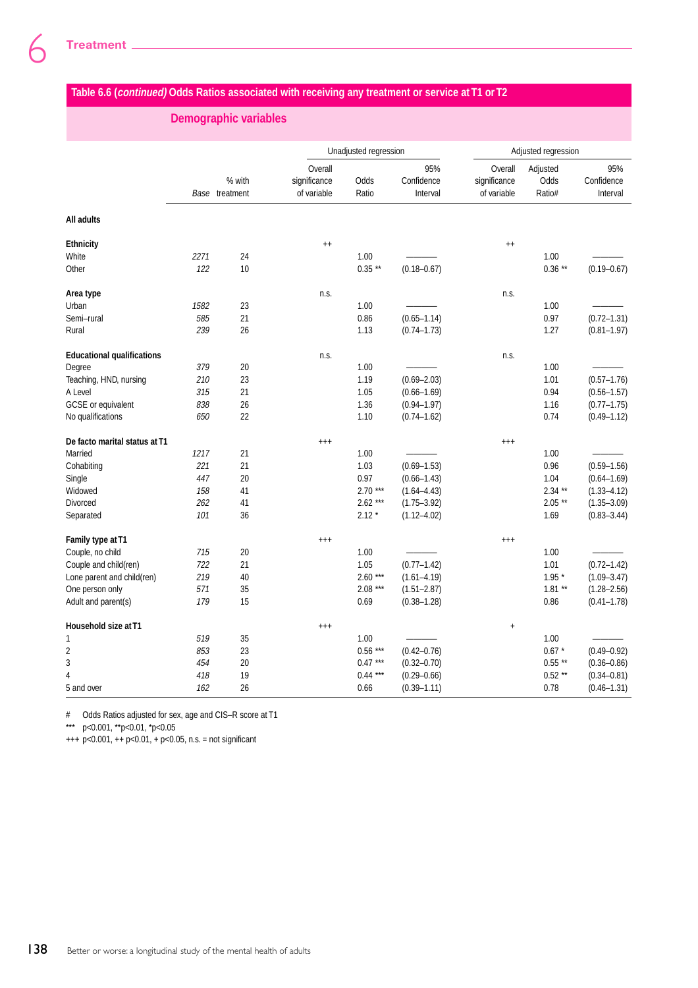## **Table 6.6 (continued) Odds Ratios associated with receiving any treatment or service at T1 or T2**

## **Demographic variables**

|                                   |      |                | Unadjusted regression |           |                 | Adjusted regression |           |                 |
|-----------------------------------|------|----------------|-----------------------|-----------|-----------------|---------------------|-----------|-----------------|
|                                   |      |                | Overall               |           | 95%             | Overall             | Adjusted  | 95%             |
|                                   |      | % with         | significance          | Odds      | Confidence      | significance        | Odds      | Confidence      |
|                                   |      | Base treatment | of variable           | Ratio     | Interval        | of variable         | Ratio#    | Interval        |
| All adults                        |      |                |                       |           |                 |                     |           |                 |
| <b>Ethnicity</b>                  |      |                | $^{++}$               |           |                 | $^{++}$             |           |                 |
| White                             | 2271 | 24             |                       | 1.00      |                 |                     | 1.00      |                 |
| Other                             | 122  | 10             |                       | $0.35**$  | $(0.18 - 0.67)$ |                     | $0.36**$  | $(0.19 - 0.67)$ |
| Area type                         |      |                | n.s.                  |           |                 | n.s.                |           |                 |
| Urban                             | 1582 | 23             |                       | 1.00      |                 |                     | 1.00      |                 |
| Semi-rural                        | 585  | 21             |                       | 0.86      | $(0.65 - 1.14)$ |                     | 0.97      | $(0.72 - 1.31)$ |
| Rural                             | 239  | 26             |                       | 1.13      | $(0.74 - 1.73)$ |                     | 1.27      | $(0.81 - 1.97)$ |
| <b>Educational qualifications</b> |      |                | n.s.                  |           |                 | n.s.                |           |                 |
| Degree                            | 379  | 20             |                       | 1.00      |                 |                     | 1.00      |                 |
| Teaching, HND, nursing            | 210  | 23             |                       | 1.19      | $(0.69 - 2.03)$ |                     | 1.01      | $(0.57 - 1.76)$ |
| A Level                           | 315  | 21             |                       | 1.05      | $(0.66 - 1.69)$ |                     | 0.94      | $(0.56 - 1.57)$ |
| GCSE or equivalent                | 838  | 26             |                       | 1.36      | $(0.94 - 1.97)$ |                     | 1.16      | $(0.77 - 1.75)$ |
| No qualifications                 | 650  | 22             |                       | 1.10      | $(0.74 - 1.62)$ |                     | 0.74      | $(0.49 - 1.12)$ |
| De facto marital status at T1     |      |                | $^{++}$               |           |                 | $^{+++}$            |           |                 |
| Married                           | 1217 | 21             |                       | 1.00      |                 |                     | 1.00      |                 |
| Cohabiting                        | 221  | 21             |                       | 1.03      | $(0.69 - 1.53)$ |                     | 0.96      | $(0.59 - 1.56)$ |
| Single                            | 447  | 20             |                       | 0.97      | $(0.66 - 1.43)$ |                     | 1.04      | $(0.64 - 1.69)$ |
| Widowed                           | 158  | 41             |                       | $2.70***$ | $(1.64 - 4.43)$ |                     | $2.34$ ** | $(1.33 - 4.12)$ |
| Divorced                          | 262  | 41             |                       | $2.62***$ | $(1.75 - 3.92)$ |                     | $2.05**$  | $(1.35 - 3.09)$ |
| Separated                         | 101  | 36             |                       | $2.12*$   | $(1.12 - 4.02)$ |                     | 1.69      | $(0.83 - 3.44)$ |
| Family type at T1                 |      |                | $^{+++}$              |           |                 | $^{+++}$            |           |                 |
| Couple, no child                  | 715  | 20             |                       | 1.00      |                 |                     | 1.00      |                 |
| Couple and child(ren)             | 722  | 21             |                       | 1.05      | $(0.77 - 1.42)$ |                     | 1.01      | $(0.72 - 1.42)$ |
| Lone parent and child(ren)        | 219  | 40             |                       | $2.60***$ | $(1.61 - 4.19)$ |                     | $1.95*$   | $(1.09 - 3.47)$ |
| One person only                   | 571  | 35             |                       | $2.08***$ | $(1.51 - 2.87)$ |                     | $1.81**$  | $(1.28 - 2.56)$ |
| Adult and parent(s)               | 179  | 15             |                       | 0.69      | $(0.38 - 1.28)$ |                     | 0.86      | $(0.41 - 1.78)$ |
| Household size at T1              |      |                | $^{+++}$              |           |                 | $\ddot{}$           |           |                 |
| $\mathbf{1}$                      | 519  | 35             |                       | 1.00      |                 |                     | 1.00      |                 |
| $\overline{2}$                    | 853  | 23             |                       | $0.56***$ | $(0.42 - 0.76)$ |                     | $0.67*$   | $(0.49 - 0.92)$ |
| 3                                 | 454  | 20             |                       | $0.47***$ | $(0.32 - 0.70)$ |                     | $0.55**$  | $(0.36 - 0.86)$ |
| $\overline{4}$                    | 418  | 19             |                       | $0.44***$ | $(0.29 - 0.66)$ |                     | $0.52**$  | $(0.34 - 0.81)$ |
| 5 and over                        | 162  | 26             |                       | 0.66      | $(0.39 - 1.11)$ |                     | 0.78      | $(0.46 - 1.31)$ |

# Odds Ratios adjusted for sex, age and CIS–R score at T1

\*\*\* p<0.001, \*\*p<0.01, \*p<0.05

+++ p<0.001, ++ p<0.01, + p<0.05, n.s. = not significant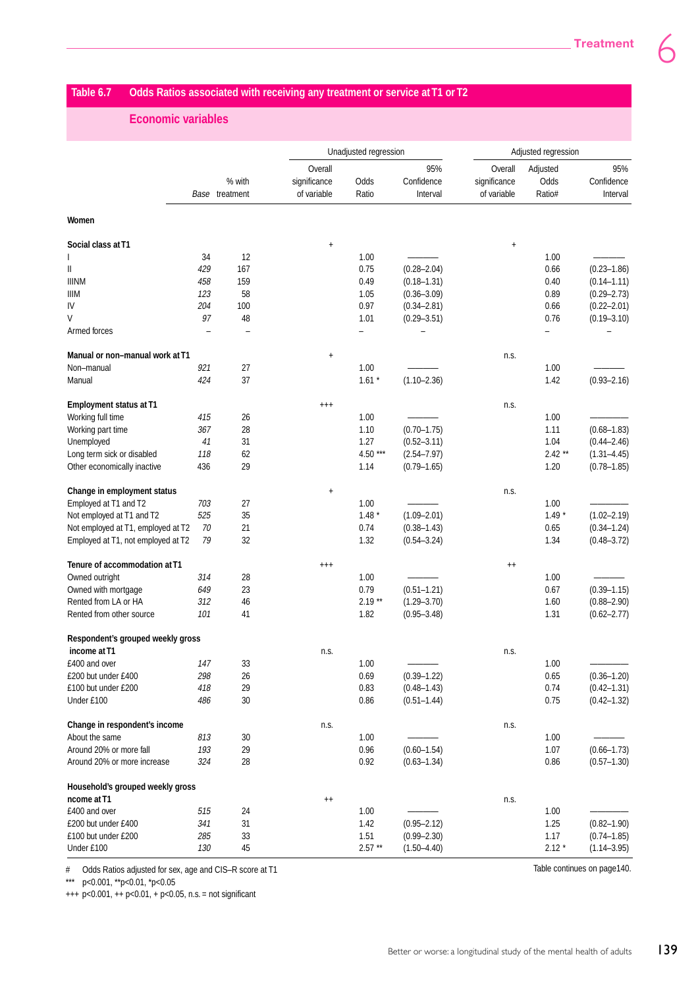## **Table 6.7 Odds Ratios associated with receiving any treatment or service at T1 or T2**

## **Economic variables**

|                                    |     |                          |                                        | Unadjusted regression |                               |                                        | Adjusted regression        |                               |  |
|------------------------------------|-----|--------------------------|----------------------------------------|-----------------------|-------------------------------|----------------------------------------|----------------------------|-------------------------------|--|
|                                    |     | % with<br>Base treatment | Overall<br>significance<br>of variable | Odds<br>Ratio         | 95%<br>Confidence<br>Interval | Overall<br>significance<br>of variable | Adjusted<br>Odds<br>Ratio# | 95%<br>Confidence<br>Interval |  |
| Women                              |     |                          |                                        |                       |                               |                                        |                            |                               |  |
| Social class at T1                 |     |                          | $\begin{array}{c} + \end{array}$       |                       |                               | $\ddagger$                             |                            |                               |  |
|                                    | 34  | 12                       |                                        | 1.00                  |                               |                                        | 1.00                       |                               |  |
| Ш                                  | 429 | 167                      |                                        | 0.75                  | $(0.28 - 2.04)$               |                                        | 0.66                       | $(0.23 - 1.86)$               |  |
| <b>IIINM</b>                       | 458 | 159                      |                                        | 0.49                  | $(0.18 - 1.31)$               |                                        | 0.40                       | $(0.14 - 1.11)$               |  |
| IIIM                               | 123 | 58                       |                                        | 1.05                  | $(0.36 - 3.09)$               |                                        | 0.89                       | $(0.29 - 2.73)$               |  |
| IV                                 | 204 | 100                      |                                        | 0.97                  | $(0.34 - 2.81)$               |                                        | 0.66                       | $(0.22 - 2.01)$               |  |
| $\vee$                             | 97  | 48                       |                                        | 1.01                  | $(0.29 - 3.51)$               |                                        | 0.76                       | $(0.19 - 3.10)$               |  |
| Armed forces                       |     |                          |                                        |                       |                               |                                        |                            |                               |  |
| Manual or non-manual work at T1    |     |                          | $\ddot{}$                              |                       |                               | n.s.                                   |                            |                               |  |
| Non-manual                         | 921 | 27                       |                                        | 1.00                  |                               |                                        | 1.00                       |                               |  |
| Manual                             | 424 | 37                       |                                        | $1.61*$               | $(1.10 - 2.36)$               |                                        | 1.42                       | $(0.93 - 2.16)$               |  |
| <b>Employment status at T1</b>     |     |                          | $^{++}$                                |                       |                               | n.s.                                   |                            |                               |  |
| Working full time                  | 415 | 26                       |                                        | 1.00                  |                               |                                        | 1.00                       |                               |  |
| Working part time                  | 367 | 28                       |                                        | 1.10                  | $(0.70 - 1.75)$               |                                        | 1.11                       | $(0.68 - 1.83)$               |  |
| Unemployed                         | 41  | 31                       |                                        | 1.27                  | $(0.52 - 3.11)$               |                                        | 1.04                       | $(0.44 - 2.46)$               |  |
| Long term sick or disabled         | 118 | 62                       |                                        | 4.50 ***              | $(2.54 - 7.97)$               |                                        | $2.42**$                   | $(1.31 - 4.45)$               |  |
| Other economically inactive        | 436 | 29                       |                                        | 1.14                  | $(0.79 - 1.65)$               |                                        | 1.20                       | $(0.78 - 1.85)$               |  |
| Change in employment status        |     |                          | $\ddagger$                             |                       |                               | n.s.                                   |                            |                               |  |
| Employed at T1 and T2              | 703 | 27                       |                                        | 1.00                  |                               |                                        | 1.00                       |                               |  |
| Not employed at T1 and T2          | 525 | 35                       |                                        | $1.48*$               | $(1.09 - 2.01)$               |                                        | $1.49*$                    | $(1.02 - 2.19)$               |  |
| Not employed at T1, employed at T2 | 70  | 21                       |                                        | 0.74                  | $(0.38 - 1.43)$               |                                        | 0.65                       | $(0.34 - 1.24)$               |  |
| Employed at T1, not employed at T2 | 79  | 32                       |                                        | 1.32                  | $(0.54 - 3.24)$               |                                        | 1.34                       | $(0.48 - 3.72)$               |  |
| Tenure of accommodation at T1      |     |                          | $^{++}$                                |                       |                               | $^{++}$                                |                            |                               |  |
| Owned outright                     | 314 | 28                       |                                        | 1.00                  |                               |                                        | 1.00                       |                               |  |
| Owned with mortgage                | 649 | 23                       |                                        | 0.79                  | $(0.51 - 1.21)$               |                                        | 0.67                       | $(0.39 - 1.15)$               |  |
| Rented from LA or HA               | 312 | 46                       |                                        | $2.19**$              | $(1.29 - 3.70)$               |                                        | 1.60                       | $(0.88 - 2.90)$               |  |
| Rented from other source           | 101 | 41                       |                                        | 1.82                  | $(0.95 - 3.48)$               |                                        | 1.31                       | $(0.62 - 2.77)$               |  |
| Respondent's grouped weekly gross  |     |                          |                                        |                       |                               |                                        |                            |                               |  |
| income at T1                       |     |                          | n.s.                                   |                       |                               | n.s.                                   |                            |                               |  |
| £400 and over                      | 147 | 33                       |                                        | 1.00                  |                               |                                        | 1.00                       |                               |  |
| £200 but under £400                | 298 | 26                       |                                        | 0.69                  | $(0.39 - 1.22)$               |                                        | 0.65                       | $(0.36 - 1.20)$               |  |
| £100 but under £200                | 418 | 29                       |                                        | 0.83                  | $(0.48 - 1.43)$               |                                        | 0.74                       | $(0.42 - 1.31)$               |  |
| Under £100                         | 486 | 30                       |                                        | 0.86                  | $(0.51 - 1.44)$               |                                        | 0.75                       | $(0.42 - 1.32)$               |  |
| Change in respondent's income      |     |                          | n.s.                                   |                       |                               | n.s.                                   |                            |                               |  |
| About the same                     | 813 | 30                       |                                        | 1.00                  |                               |                                        | 1.00                       |                               |  |
| Around 20% or more fall            | 193 | 29                       |                                        | 0.96                  | $(0.60 - 1.54)$               |                                        | 1.07                       | $(0.66 - 1.73)$               |  |
| Around 20% or more increase        | 324 | 28                       |                                        | 0.92                  | $(0.63 - 1.34)$               |                                        | 0.86                       | $(0.57 - 1.30)$               |  |
| Household's grouped weekly gross   |     |                          |                                        |                       |                               |                                        |                            |                               |  |
| ncome at T1                        |     |                          | $^{++}$                                |                       |                               | n.s.                                   |                            |                               |  |
| £400 and over                      | 515 | 24                       |                                        | 1.00                  |                               |                                        | 1.00                       |                               |  |
| £200 but under £400                | 341 | 31                       |                                        | 1.42                  | $(0.95 - 2.12)$               |                                        | 1.25                       | $(0.82 - 1.90)$               |  |
| £100 but under £200                | 285 | 33                       |                                        | 1.51                  | $(0.99 - 2.30)$               |                                        | 1.17                       | $(0.74 - 1.85)$               |  |
| Under £100                         | 130 | 45                       |                                        | $2.57**$              | $(1.50 - 4.40)$               |                                        | $2.12*$                    | $(1.14 - 3.95)$               |  |

# Odds Ratios adjusted for sex, age and CIS–R score at T1

\*\*\* p<0.001, \*\*p<0.01, \*p<0.05

 $+++ p<0.001, ++ p<0.01, + p<0.05, n.s.=$  not significant

Table continues on page140.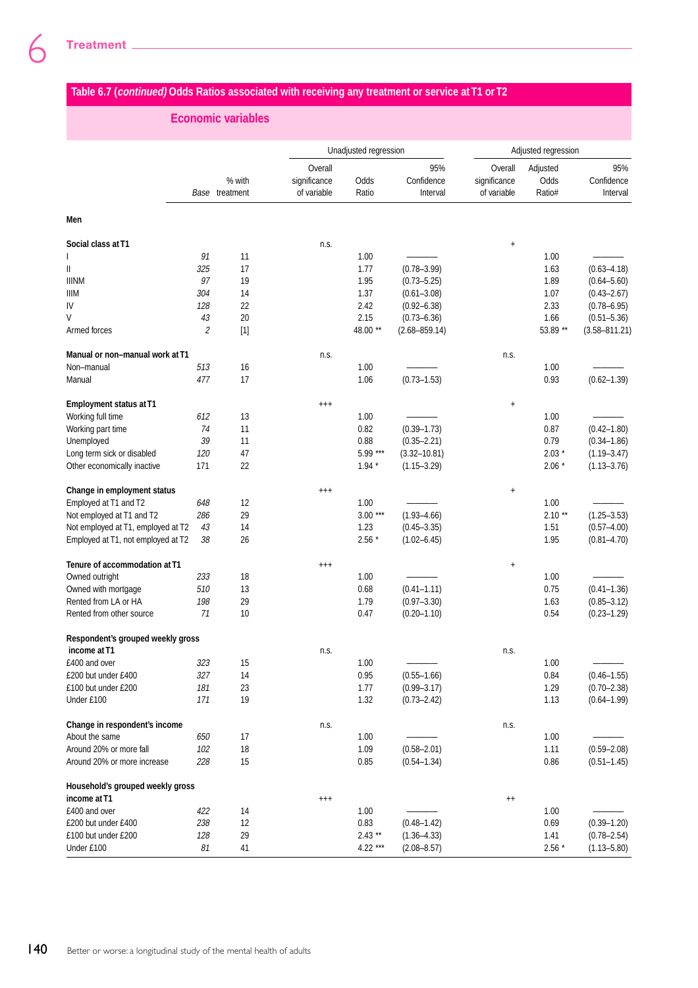# **Table 6.7 (continued) Odds Ratios associated with receiving any treatment or service at T1 or T2**

## **Economic variables**

|                                    |     |                          |                                        | Unadjusted regression |                               |                                        | Adjusted regression        |                               |  |
|------------------------------------|-----|--------------------------|----------------------------------------|-----------------------|-------------------------------|----------------------------------------|----------------------------|-------------------------------|--|
|                                    |     | % with<br>Base treatment | Overall<br>significance<br>of variable | Odds<br>Ratio         | 95%<br>Confidence<br>Interval | Overall<br>significance<br>of variable | Adjusted<br>Odds<br>Ratio# | 95%<br>Confidence<br>Interval |  |
| Men                                |     |                          |                                        |                       |                               |                                        |                            |                               |  |
| Social class at T1                 |     |                          | n.s.                                   |                       |                               | $\ddagger$                             |                            |                               |  |
|                                    | 91  | 11                       |                                        | 1.00                  |                               |                                        | 1.00                       |                               |  |
| $\mathbf{II}$                      | 325 | 17                       |                                        | 1.77                  | $(0.78 - 3.99)$               |                                        | 1.63                       | $(0.63 - 4.18)$               |  |
| <b>IIINM</b>                       | 97  | 19                       |                                        | 1.95                  | $(0.73 - 5.25)$               |                                        | 1.89                       | $(0.64 - 5.60)$               |  |
| <b>IIIM</b>                        | 304 | 14                       |                                        | 1.37                  | $(0.61 - 3.08)$               |                                        | 1.07                       | $(0.43 - 2.67)$               |  |
| IV                                 | 128 | 22                       |                                        | 2.42                  | $(0.92 - 6.38)$               |                                        | 2.33                       | $(0.78 - 6.95)$               |  |
| V                                  | 43  | 20                       |                                        | 2.15                  | $(0.73 - 6.36)$               |                                        | 1.66                       | $(0.51 - 5.36)$               |  |
| Armed forces                       | 2   | $[1]$                    |                                        | 48.00 **              | $(2.68 - 859.14)$             |                                        | 53.89 **                   | $(3.58 - 811.21)$             |  |
| Manual or non-manual work at T1    |     |                          | n.s.                                   |                       |                               | n.s.                                   |                            |                               |  |
| Non-manual                         | 513 | 16                       |                                        | 1.00                  |                               |                                        | 1.00                       |                               |  |
| Manual                             | 477 | 17                       |                                        | 1.06                  | $(0.73 - 1.53)$               |                                        | 0.93                       | $(0.62 - 1.39)$               |  |
| <b>Employment status at T1</b>     |     |                          | $^{+++}$                               |                       |                               | $\ddag$                                |                            |                               |  |
| Working full time                  | 612 | 13                       |                                        | 1.00                  |                               |                                        | 1.00                       |                               |  |
| Working part time                  | 74  | 11                       |                                        | 0.82                  | $(0.39 - 1.73)$               |                                        | 0.87                       | $(0.42 - 1.80)$               |  |
| Unemployed                         | 39  | 11                       |                                        | 0.88                  | $(0.35 - 2.21)$               |                                        | 0.79                       | $(0.34 - 1.86)$               |  |
| Long term sick or disabled         | 120 | 47                       |                                        | 5.99 ***              | $(3.32 - 10.81)$              |                                        | $2.03*$                    | $(1.19 - 3.47)$               |  |
| Other economically inactive        | 171 | 22                       |                                        | $1.94*$               | $(1.15 - 3.29)$               |                                        | $2.06*$                    | $(1.13 - 3.76)$               |  |
| Change in employment status        |     |                          | $^{++}$                                |                       |                               | $\ddag$                                |                            |                               |  |
| Employed at T1 and T2              | 648 | 12                       |                                        | 1.00                  |                               |                                        | 1.00                       |                               |  |
| Not employed at T1 and T2          | 286 | 29                       |                                        | $3.00***$             | $(1.93 - 4.66)$               |                                        | $2.10**$                   | $(1.25 - 3.53)$               |  |
| Not employed at T1, employed at T2 | 43  | 14                       |                                        | 1.23                  | $(0.45 - 3.35)$               |                                        | 1.51                       | $(0.57 - 4.00)$               |  |
| Employed at T1, not employed at T2 | 38  | 26                       |                                        | $2.56*$               | $(1.02 - 6.45)$               |                                        | 1.95                       | $(0.81 - 4.70)$               |  |
| Tenure of accommodation at T1      |     |                          | $^{+++}$                               |                       |                               | $\ddag$                                |                            |                               |  |
| Owned outright                     | 233 | 18                       |                                        | 1.00                  |                               |                                        | 1.00                       |                               |  |
| Owned with mortgage                | 510 | 13                       |                                        | 0.68                  | $(0.41 - 1.11)$               |                                        | 0.75                       | $(0.41 - 1.36)$               |  |
| Rented from LA or HA               | 198 | 29                       |                                        | 1.79                  | $(0.97 - 3.30)$               |                                        | 1.63                       | $(0.85 - 3.12)$               |  |
| Rented from other source           | 71  | 10                       |                                        | 0.47                  | $(0.20 - 1.10)$               |                                        | 0.54                       | $(0.23 - 1.29)$               |  |
| Respondent's grouped weekly gross  |     |                          |                                        |                       |                               |                                        |                            |                               |  |
| income at T1                       |     |                          | n.s.                                   |                       |                               | n.s.                                   |                            |                               |  |
| £400 and over                      | 323 | 15                       |                                        | 1.00                  |                               |                                        | 1.00                       |                               |  |
| £200 but under £400                | 327 | 14                       |                                        | 0.95                  | $(0.55 - 1.66)$               |                                        | 0.84                       | $(0.46 - 1.55)$               |  |
| £100 but under £200                | 181 | 23                       |                                        | 1.77                  | $(0.99 - 3.17)$               |                                        | 1.29                       | $(0.70 - 2.38)$               |  |
| Under £100                         | 171 | 19                       |                                        | 1.32                  | $(0.73 - 2.42)$               |                                        | 1.13                       | $(0.64 - 1.99)$               |  |
| Change in respondent's income      |     |                          | n.s.                                   |                       |                               | n.s.                                   |                            |                               |  |
| About the same                     | 650 | 17                       |                                        | 1.00                  |                               |                                        | 1.00                       |                               |  |
| Around 20% or more fall            | 102 | 18                       |                                        | 1.09                  | $(0.58 - 2.01)$               |                                        | 1.11                       | $(0.59 - 2.08)$               |  |
| Around 20% or more increase        | 228 | 15                       |                                        | 0.85                  | $(0.54 - 1.34)$               |                                        | 0.86                       | $(0.51 - 1.45)$               |  |
| Household's grouped weekly gross   |     |                          |                                        |                       |                               |                                        |                            |                               |  |
| income at T1                       |     |                          | $^{+++}$                               |                       |                               | $^{++}$                                |                            |                               |  |
| £400 and over                      | 422 | 14                       |                                        | 1.00                  |                               |                                        | 1.00                       |                               |  |
| £200 but under £400                | 238 | 12                       |                                        | 0.83                  | $(0.48 - 1.42)$               |                                        | 0.69                       | $(0.39 - 1.20)$               |  |
| £100 but under £200                | 128 | 29                       |                                        | $2.43**$              | $(1.36 - 4.33)$               |                                        | 1.41                       | $(0.78 - 2.54)$               |  |
| Under £100                         | 81  | 41                       |                                        | 4.22 ***              | $(2.08 - 8.57)$               |                                        | $2.56*$                    | $(1.13 - 5.80)$               |  |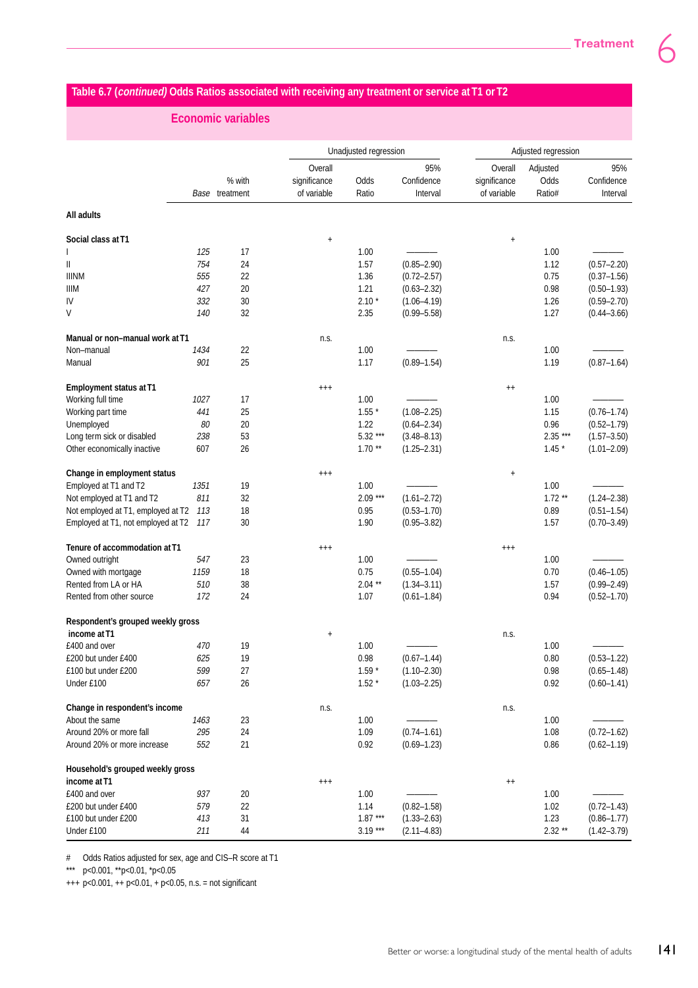## **Table 6.7 (continued) Odds Ratios associated with receiving any treatment or service at T1 or T2**

## **Economic variables**

|                                    |            |                          |                                        | Unadjusted regression |                                    |                                        | Adjusted regression        |                                    |  |
|------------------------------------|------------|--------------------------|----------------------------------------|-----------------------|------------------------------------|----------------------------------------|----------------------------|------------------------------------|--|
|                                    |            | % with<br>Base treatment | Overall<br>significance<br>of variable | Odds<br>Ratio         | 95%<br>Confidence<br>Interval      | Overall<br>significance<br>of variable | Adjusted<br>Odds<br>Ratio# | 95%<br>Confidence<br>Interval      |  |
| All adults                         |            |                          |                                        |                       |                                    |                                        |                            |                                    |  |
| Social class at T1                 |            |                          | $\ddagger$                             |                       |                                    | $\ddagger$                             |                            |                                    |  |
|                                    | 125        | 17                       |                                        | 1.00                  |                                    |                                        | 1.00                       |                                    |  |
| Ш                                  | 754        | 24                       |                                        | 1.57                  | $(0.85 - 2.90)$                    |                                        | 1.12                       | $(0.57 - 2.20)$                    |  |
| <b>IIINM</b>                       | 555        | 22                       |                                        | 1.36                  | $(0.72 - 2.57)$                    |                                        | 0.75                       | $(0.37 - 1.56)$                    |  |
| <b>IIIM</b>                        | 427        | 20                       |                                        | 1.21                  | $(0.63 - 2.32)$                    |                                        | 0.98                       | $(0.50 - 1.93)$                    |  |
| IV                                 | 332        | 30                       |                                        | $2.10*$               | $(1.06 - 4.19)$                    |                                        | 1.26                       | $(0.59 - 2.70)$                    |  |
| V                                  | 140        | 32                       |                                        | 2.35                  | $(0.99 - 5.58)$                    |                                        | 1.27                       | $(0.44 - 3.66)$                    |  |
| Manual or non-manual work at T1    |            |                          | n.s.                                   |                       |                                    | n.s.                                   |                            |                                    |  |
| Non-manual                         | 1434       | 22                       |                                        | 1.00                  |                                    |                                        | 1.00                       |                                    |  |
| Manual                             | 901        | 25                       |                                        | 1.17                  | $(0.89 - 1.54)$                    |                                        | 1.19                       | $(0.87 - 1.64)$                    |  |
| <b>Employment status at T1</b>     |            |                          | $^{+++}$                               |                       |                                    | $^{++}$                                |                            |                                    |  |
| Working full time                  | 1027       | 17                       |                                        | 1.00                  |                                    |                                        | 1.00                       |                                    |  |
| Working part time                  | 441        | 25                       |                                        | $1.55*$               | $(1.08 - 2.25)$                    |                                        | 1.15                       | $(0.76 - 1.74)$                    |  |
| Unemployed                         | 80         | 20                       |                                        | 1.22                  | $(0.64 - 2.34)$                    |                                        | 0.96                       | $(0.52 - 1.79)$                    |  |
| Long term sick or disabled         | 238        | 53                       |                                        | $5.32***$             | $(3.48 - 8.13)$                    |                                        | $2.35***$                  | $(1.57 - 3.50)$                    |  |
| Other economically inactive        | 607        | 26                       |                                        | $1.70**$              | $(1.25 - 2.31)$                    |                                        | $1.45*$                    | $(1.01 - 2.09)$                    |  |
| Change in employment status        |            |                          | $^{+++}$                               |                       |                                    | $\ddagger$                             |                            |                                    |  |
| Employed at T1 and T2              | 1351       | 19                       |                                        | 1.00                  |                                    |                                        | 1.00                       |                                    |  |
| Not employed at T1 and T2          | 811        | 32                       |                                        | $2.09***$             | $(1.61 - 2.72)$                    |                                        | $1.72**$                   | $(1.24 - 2.38)$                    |  |
| Not employed at T1, employed at T2 | 113        | 18                       |                                        | 0.95                  | $(0.53 - 1.70)$                    |                                        | 0.89                       | $(0.51 - 1.54)$                    |  |
| Employed at T1, not employed at T2 | 117        | 30                       |                                        | 1.90                  | $(0.95 - 3.82)$                    |                                        | 1.57                       | $(0.70 - 3.49)$                    |  |
| Tenure of accommodation at T1      |            |                          | $^{+++}$                               |                       |                                    | $^{+++}$                               |                            |                                    |  |
| Owned outright                     | 547        | 23                       |                                        | 1.00                  |                                    |                                        | 1.00                       |                                    |  |
| Owned with mortgage                | 1159       | 18                       |                                        | 0.75                  | $(0.55 - 1.04)$                    |                                        | 0.70                       | $(0.46 - 1.05)$                    |  |
| Rented from LA or HA               | 510        | 38                       |                                        | $2.04**$              | $(1.34 - 3.11)$                    |                                        | 1.57                       | $(0.99 - 2.49)$                    |  |
| Rented from other source           | 172        | 24                       |                                        | 1.07                  | $(0.61 - 1.84)$                    |                                        | 0.94                       | $(0.52 - 1.70)$                    |  |
| Respondent's grouped weekly gross  |            |                          |                                        |                       |                                    |                                        |                            |                                    |  |
| income at T1                       |            |                          | $\ddagger$                             |                       |                                    | n.s.                                   |                            |                                    |  |
| £400 and over                      | 470        | 19                       |                                        | 1.00                  |                                    |                                        | 1.00                       |                                    |  |
| £200 but under £400                | 625        | 19                       |                                        | 0.98                  | $(0.67 - 1.44)$                    |                                        | 0.80                       | $(0.53 - 1.22)$                    |  |
| £100 but under £200<br>Under £100  | 599<br>657 | 27<br>26                 |                                        | $1.59*$<br>$1.52*$    | $(1.10 - 2.30)$<br>$(1.03 - 2.25)$ |                                        | 0.98<br>0.92               | $(0.65 - 1.48)$<br>$(0.60 - 1.41)$ |  |
|                                    |            |                          |                                        |                       |                                    |                                        |                            |                                    |  |
| Change in respondent's income      |            |                          | n.s.                                   |                       |                                    | n.s.                                   |                            |                                    |  |
| About the same                     | 1463       | 23                       |                                        | 1.00                  |                                    |                                        | 1.00                       |                                    |  |
| Around 20% or more fall            | 295        | 24                       |                                        | 1.09                  | $(0.74 - 1.61)$                    |                                        | 1.08                       | $(0.72 - 1.62)$                    |  |
| Around 20% or more increase        | 552        | 21                       |                                        | 0.92                  | $(0.69 - 1.23)$                    |                                        | 0.86                       | $(0.62 - 1.19)$                    |  |
| Household's grouped weekly gross   |            |                          |                                        |                       |                                    |                                        |                            |                                    |  |
| income at T1                       |            |                          | $^{+++}$                               |                       |                                    | $^{++}$                                |                            |                                    |  |
| £400 and over                      | 937        | 20                       |                                        | 1.00                  |                                    |                                        | 1.00                       |                                    |  |
| £200 but under £400                | 579        | 22                       |                                        | 1.14                  | $(0.82 - 1.58)$                    |                                        | 1.02                       | $(0.72 - 1.43)$                    |  |
| £100 but under £200                | 413        | 31                       |                                        | $1.87***$             | $(1.33 - 2.63)$                    |                                        | 1.23                       | $(0.86 - 1.77)$                    |  |
| Under £100                         | 211        | 44                       |                                        | $3.19***$             | $(2.11 - 4.83)$                    |                                        | $2.32**$                   | $(1.42 - 3.79)$                    |  |

# Odds Ratios adjusted for sex, age and CIS–R score at T1

\*\*\* p<0.001, \*\*p<0.01, \*p<0.05

+++ p<0.001, ++ p<0.01, + p<0.05, n.s. = not significant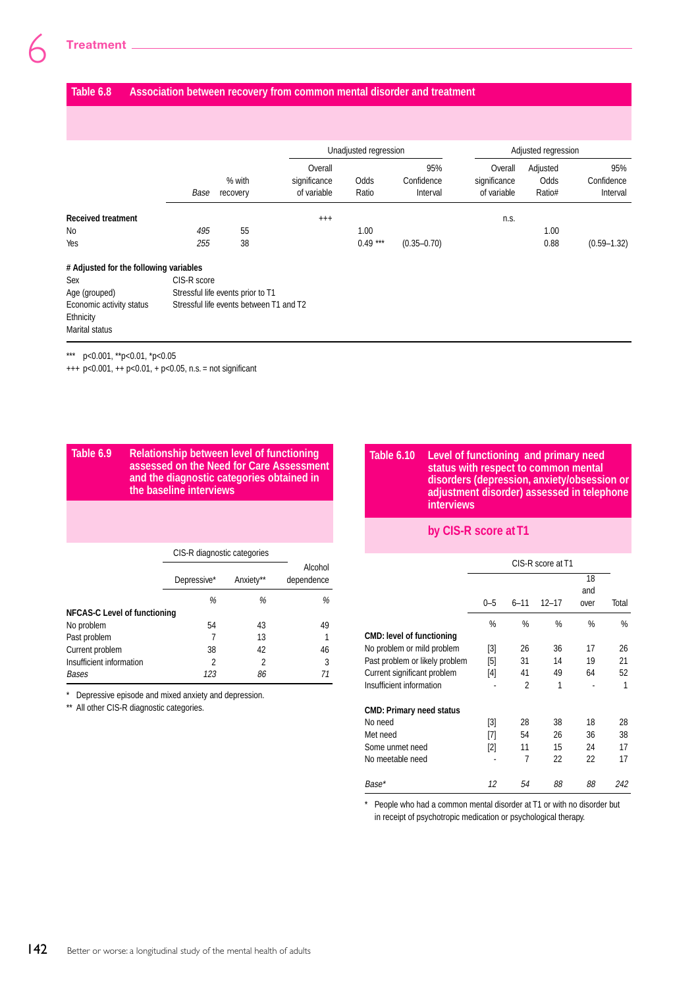#### **Table 6.8 Association between recovery from common mental disorder and treatment**

|                                        |             |                                         |                                        | Unadjusted regression |                               | Adjusted regression                    |                            |                               |
|----------------------------------------|-------------|-----------------------------------------|----------------------------------------|-----------------------|-------------------------------|----------------------------------------|----------------------------|-------------------------------|
|                                        | Base        | % with<br>recovery                      | Overall<br>significance<br>of variable | Odds<br>Ratio         | 95%<br>Confidence<br>Interval | Overall<br>significance<br>of variable | Adjusted<br>Odds<br>Ratio# | 95%<br>Confidence<br>Interval |
| <b>Received treatment</b>              |             |                                         | $^{+++}$                               |                       |                               | n.s.                                   |                            |                               |
| No                                     | 495         | 55                                      |                                        | 1.00                  |                               |                                        | 1.00                       |                               |
| Yes                                    | 255         | 38                                      |                                        | $0.49***$             | $(0.35 - 0.70)$               |                                        | 0.88                       | $(0.59 - 1.32)$               |
| # Adjusted for the following variables |             |                                         |                                        |                       |                               |                                        |                            |                               |
| Sex                                    | CIS-R score |                                         |                                        |                       |                               |                                        |                            |                               |
| Age (grouped)                          |             | Stressful life events prior to T1       |                                        |                       |                               |                                        |                            |                               |
| Economic activity status               |             | Stressful life events between T1 and T2 |                                        |                       |                               |                                        |                            |                               |
| Ethnicity                              |             |                                         |                                        |                       |                               |                                        |                            |                               |
| <b>Marital status</b>                  |             |                                         |                                        |                       |                               |                                        |                            |                               |

\*\*\* p<0.001, \*\*p<0.01, \*p<0.05

 $+++ p<0.001, ++ p<0.01, + p<0.05, n.s. = not significant$ 

#### **Table 6.9 Relationship between level of functioning assessed on the Need for Care Assessment and the diagnostic categories obtained in the baseline interviews**

|                                     |             | CIS-R diagnostic categories |                       |  |  |  |
|-------------------------------------|-------------|-----------------------------|-----------------------|--|--|--|
|                                     | Depressive* | Anxiety**                   | Alcohol<br>dependence |  |  |  |
|                                     | %           | %                           | %                     |  |  |  |
| <b>NFCAS-C Level of functioning</b> |             |                             |                       |  |  |  |
| No problem                          | 54          | 43                          | 49                    |  |  |  |
| Past problem                        |             | 13                          | 1                     |  |  |  |
| Current problem                     | 38          | 42                          | 46                    |  |  |  |
| Insufficient information            | 2           | 2                           | 3                     |  |  |  |
| Bases                               | 123         | 86                          | 71                    |  |  |  |

\* Depressive episode and mixed anxiety and depression.

\*\* All other CIS-R diagnostic categories.

#### **Table 6.10 Level of functioning and primary need status with respect to common mental disorders (depression, anxiety/obsession or adjustment disorder) assessed in telephone interviews**

## **by CIS-R score at T1**

|                                  |         | CIS-R score at T1 |           |      |       |  |  |
|----------------------------------|---------|-------------------|-----------|------|-------|--|--|
|                                  |         |                   |           | 18   |       |  |  |
|                                  |         |                   |           | and  |       |  |  |
|                                  | $0 - 5$ | $6 - 11$          | $12 - 17$ | over | Total |  |  |
|                                  | %       | %                 | %         | %    | %     |  |  |
| <b>CMD: level of functioning</b> |         |                   |           |      |       |  |  |
| No problem or mild problem       | [3]     | 26                | 36        | 17   | 26    |  |  |
| Past problem or likely problem   | [5]     | 31                | 14        | 19   | 21    |  |  |
| Current significant problem      | [4]     | 41                | 49        | 64   | 52    |  |  |
| Insufficient information         |         | 2                 | 1         |      | 1     |  |  |
| <b>CMD: Primary need status</b>  |         |                   |           |      |       |  |  |
| No need                          | [3]     | 28                | 38        | 18   | 28    |  |  |
| Met need                         | [7]     | 54                | 26        | 36   | 38    |  |  |
| Some unmet need                  | $[2]$   | 11                | 15        | 24   | 17    |  |  |
| No meetable need                 |         | 7                 | 22        | 22   | 17    |  |  |
| Base*                            | 12      | 54                | 88        | 88   | 242   |  |  |

\* People who had a common mental disorder at T1 or with no disorder but in receipt of psychotropic medication or psychological therapy.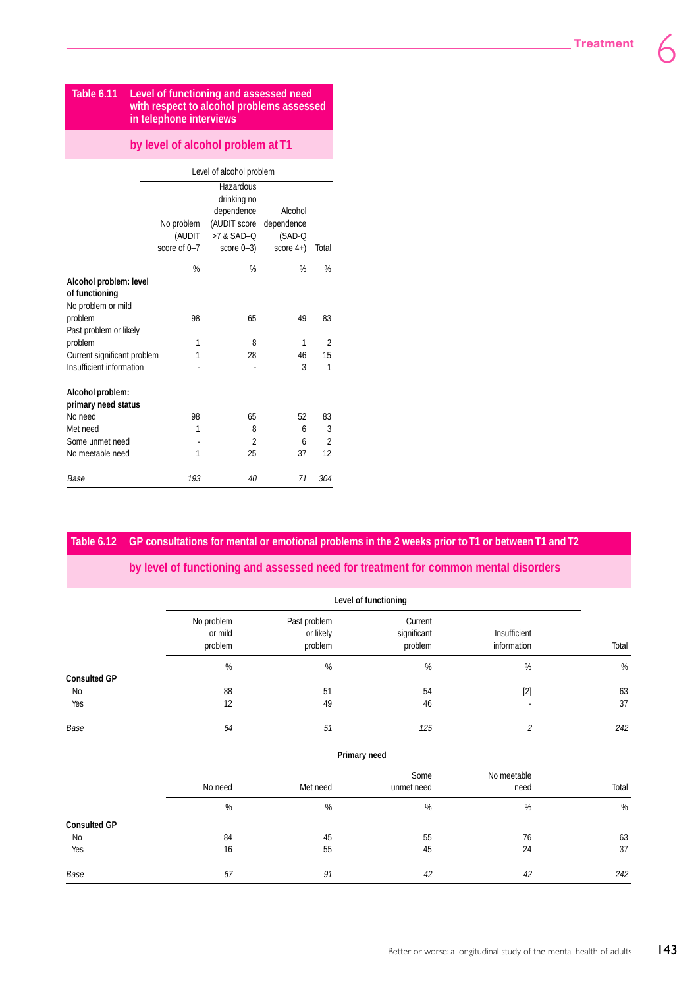#### **Table 6.11 Level of functioning and assessed need with respect to alcohol problems assessed in telephone interviews**

#### **by level of alcohol problem at T1**

|                             |              | Level of alcohol problem |              |                |
|-----------------------------|--------------|--------------------------|--------------|----------------|
|                             |              | Hazardous                |              |                |
|                             |              | drinking no              |              |                |
|                             |              | dependence               | Alcohol      |                |
|                             | No problem   | (AUDIT score             | dependence   |                |
|                             | (AUDIT       | >7 & SAD-Q               | $(SAD-Q)$    |                |
|                             | score of 0-7 | score $0-3$ )            | score $4+$ ) | Total          |
|                             | %            | %                        | %            | %              |
| Alcohol problem: level      |              |                          |              |                |
| of functioning              |              |                          |              |                |
| No problem or mild          |              |                          |              |                |
| problem                     | 98           | 65                       | 49           | 83             |
| Past problem or likely      |              |                          |              |                |
| problem                     | 1            | 8                        | 1            | 2              |
| Current significant problem | 1            | 28                       | 46           | 15             |
| Insufficient information    |              |                          | 3            | 1              |
| Alcohol problem:            |              |                          |              |                |
| primary need status         |              |                          |              |                |
| No need                     | 98           | 65                       | 52           | 83             |
| Met need                    | 1            | 8                        | 6            | 3              |
| Some unmet need             |              | 2                        | 6            | $\overline{2}$ |
| No meetable need            | 1            | 25                       | 37           | 12             |
| Base                        | 193          | 40                       | 71           | 304            |

#### **Table 6.12 GP consultations for mental or emotional problems in the 2 weeks prior to T1 or between T1 and T2**

#### **by level of functioning and assessed need for treatment for common mental disorders**

|                     | Level of functioning             |                                      |                                   |                             |       |  |  |
|---------------------|----------------------------------|--------------------------------------|-----------------------------------|-----------------------------|-------|--|--|
|                     | No problem<br>or mild<br>problem | Past problem<br>or likely<br>problem | Current<br>significant<br>problem | Insufficient<br>information | Total |  |  |
|                     | $\%$                             | $\%$                                 | $\%$                              | $\%$                        | $\%$  |  |  |
| <b>Consulted GP</b> |                                  |                                      |                                   |                             |       |  |  |
| No                  | 88                               | 51                                   | 54                                | $[2]$                       | 63    |  |  |
| Yes                 | 12                               | 49                                   | 46                                |                             | 37    |  |  |
| Base                | 64                               | 51                                   | 125                               | $\overline{c}$              | 242   |  |  |
|                     |                                  | Primary need                         |                                   |                             |       |  |  |
|                     |                                  |                                      | Some                              | No meetable                 |       |  |  |
|                     | No need                          | Met need                             | unmet need                        | need                        | Total |  |  |
|                     | $\%$                             | $\%$                                 | $\%$                              | %                           | $\%$  |  |  |
| <b>Consulted GP</b> |                                  |                                      |                                   |                             |       |  |  |
| No                  | 84                               | 45                                   | 55                                | 76                          | 63    |  |  |
| Yes                 | 16                               | 55                                   | 45                                | 24                          | 37    |  |  |
| Base                | 67                               | 91                                   | 42                                | 42                          | 242   |  |  |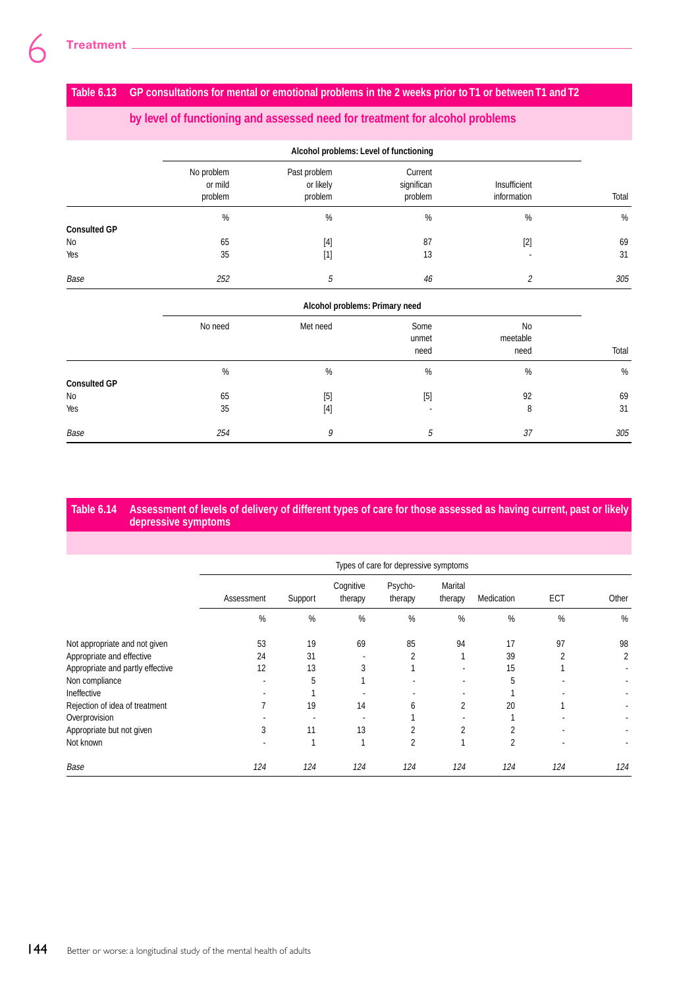## **Table 6.13 GP consultations for mental or emotional problems in the 2 weeks prior to T1 or between T1 and T2**

## **by level of functioning and assessed need for treatment for alcohol problems**

|                     |                                  | Alcohol problems: Level of functioning                                                                                                                                                                                 |                                  |                             |       |  |  |  |
|---------------------|----------------------------------|------------------------------------------------------------------------------------------------------------------------------------------------------------------------------------------------------------------------|----------------------------------|-----------------------------|-------|--|--|--|
|                     | No problem<br>or mild<br>problem | Past problem<br>or likely<br>problem                                                                                                                                                                                   | Current<br>significan<br>problem | Insufficient<br>information | Total |  |  |  |
|                     | %                                | $\%$                                                                                                                                                                                                                   | $\%$                             | %                           | %     |  |  |  |
| <b>Consulted GP</b> |                                  |                                                                                                                                                                                                                        |                                  |                             |       |  |  |  |
| No                  | 65                               | $[4]$                                                                                                                                                                                                                  | 87                               | $[2]$                       | 69    |  |  |  |
| Yes                 | 35                               | $[1] % \includegraphics[width=0.9\columnwidth]{figures/fig_10.pdf} \caption{The figure shows the number of times on the right panel. The left panel shows the number of times on the right panel.} \label{fig:time} %$ | 13                               |                             | 31    |  |  |  |
| Base                | 252                              | 5                                                                                                                                                                                                                      | 46                               | 2                           | 305   |  |  |  |

#### **Alcohol problems: Primary need**

|                           | No need | Met need | Some<br>unmet<br>need | <b>No</b><br>meetable<br>need | Total |
|---------------------------|---------|----------|-----------------------|-------------------------------|-------|
|                           | $\%$    | %        | %                     | %                             | %     |
| <b>Consulted GP</b><br>No | 65      | $[5]$    | [5]                   | 92                            | 69    |
| Yes                       | 35      |          | $\blacksquare$        | 8                             | 31    |
| Base                      | 254     | 9        | 5                     | 37                            | 305   |

#### **Table 6.14 Assessment of levels of delivery of different types of care for those assessed as having current, past or likely depressive symptoms**

|                                  |                | Types of care for depressive symptoms |                      |                    |                    |                |     |       |  |
|----------------------------------|----------------|---------------------------------------|----------------------|--------------------|--------------------|----------------|-----|-------|--|
|                                  | Assessment     | Support                               | Cognitive<br>therapy | Psycho-<br>therapy | Marital<br>therapy | Medication     | ECT | Other |  |
|                                  | $\%$           | $\%$                                  | $\%$                 | $\frac{0}{0}$      | $\%$               | $\%$           | %   | %     |  |
| Not appropriate and not given    | 53             | 19                                    | 69                   | 85                 | 94                 | 17             | 97  | 98    |  |
| Appropriate and effective        | 24             | 31                                    |                      | 2                  |                    | 39             | 2   | 2     |  |
| Appropriate and partly effective | 12             | 13                                    | 3                    |                    | ٠                  | 15             |     |       |  |
| Non compliance                   |                | 5                                     |                      |                    | ٠                  | 5              |     |       |  |
| Ineffective                      |                |                                       |                      |                    |                    |                |     |       |  |
| Rejection of idea of treatment   | $\overline{7}$ | 19                                    | 14                   | 6                  | 2                  | 20             |     |       |  |
| Overprovision                    |                |                                       |                      |                    |                    |                |     |       |  |
| Appropriate but not given        | 3              | 11                                    | 13                   | 2                  | 2                  | $\overline{2}$ |     |       |  |
| Not known                        |                |                                       |                      | 2                  | 4                  | 2              |     |       |  |
| Base                             | 124            | 124                                   | 124                  | 124                | 124                | 124            | 124 | 124   |  |